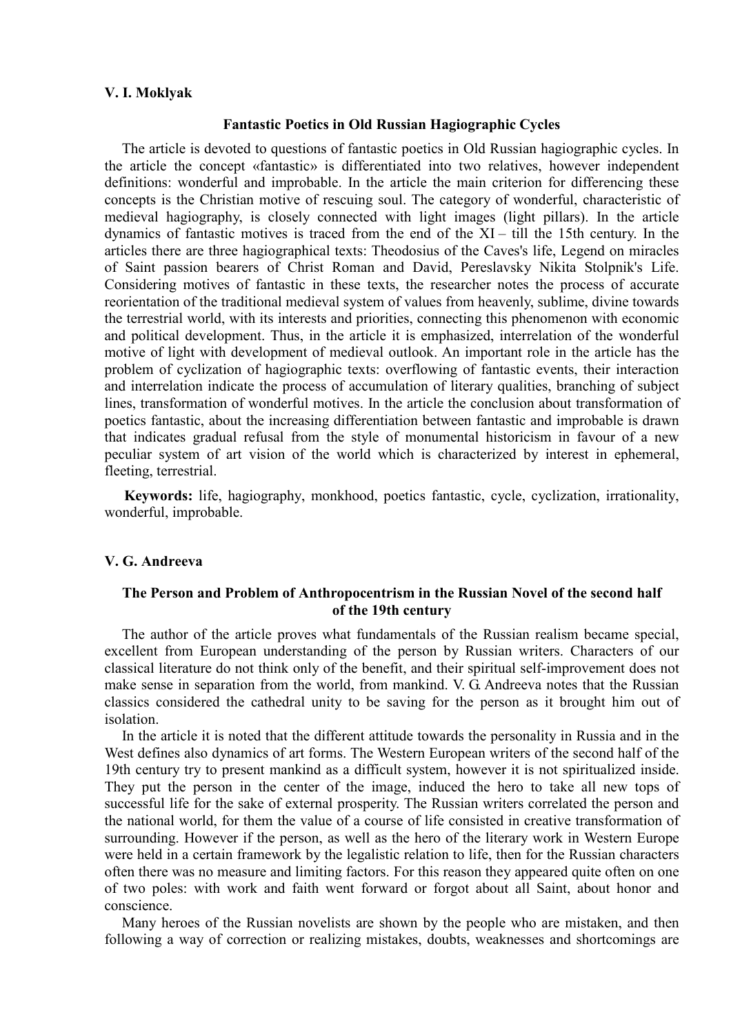### **V. I. Moklyak**

### **Fantastic Poetics in Old Russian Hagiographic Cycles**

The article is devoted to questions of fantastic poetics in Old Russian hagiographic cycles. In the article the concept «fantastic» is differentiated into two relatives, however independent definitions: wonderful and improbable. In the article the main criterion for differencing these concepts is the Christian motive of rescuing soul. The category of wonderful, characteristic of medieval hagiography, is closely connected with light images (light pillars). In the article dynamics of fantastic motives is traced from the end of the XI – till the 15th century. In the articles there are three hagiographical texts: Theodosius of the Caves's life, Legend on miracles of Saint passion bearers of Christ Roman and David, Pereslavsky Nikita Stolpnik's Life. Considering motives of fantastic in these texts, the researcher notes the process of accurate reorientation of the traditional medieval system of values from heavenly, sublime, divine towards the terrestrial world, with its interests and priorities, connecting this phenomenon with economic and political development. Thus, in the article it is emphasized, interrelation of the wonderful motive of light with development of medieval outlook. An important role in the article has the problem of cyclization of hagiographic texts: overflowing of fantastic events, their interaction and interrelation indicate the process of accumulation of literary qualities, branching of subject lines, transformation of wonderful motives. In the article the conclusion about transformation of poetics fantastic, about the increasing differentiation between fantastic and improbable is drawn that indicates gradual refusal from the style of monumental historicism in favour of a new peculiar system of art vision of the world which is characterized by interest in ephemeral, fleeting, terrestrial.

**Keywords:** life, hagiography, monkhood, poetics fantastic, cycle, cyclization, irrationality, wonderful, improbable.

# **V. G. Andreeva**

# **The Person and Problem of Anthropocentrism in the Russian Novel of the second half of the 19th century**

The author of the article proves what fundamentals of the Russian realism became special, excellent from European understanding of the person by Russian writers. Characters of our classical literature do not think only of the benefit, and their spiritual self-improvement does not make sense in separation from the world, from mankind. V. G. Andreeva notes that the Russian classics considered the cathedral unity to be saving for the person as it brought him out of isolation.

In the article it is noted that the different attitude towards the personality in Russia and in the West defines also dynamics of art forms. The Western European writers of the second half of the 19th century try to present mankind as a difficult system, however it is not spiritualized inside. They put the person in the center of the image, induced the hero to take all new tops of successful life for the sake of external prosperity. The Russian writers correlated the person and the national world, for them the value of a course of life consisted in creative transformation of surrounding. However if the person, as well as the hero of the literary work in Western Europe were held in a certain framework by the legalistic relation to life, then for the Russian characters often there was no measure and limiting factors. For this reason they appeared quite often on one of two poles: with work and faith went forward or forgot about all Saint, about honor and conscience.

Many heroes of the Russian novelists are shown by the people who are mistaken, and then following a way of correction or realizing mistakes, doubts, weaknesses and shortcomings are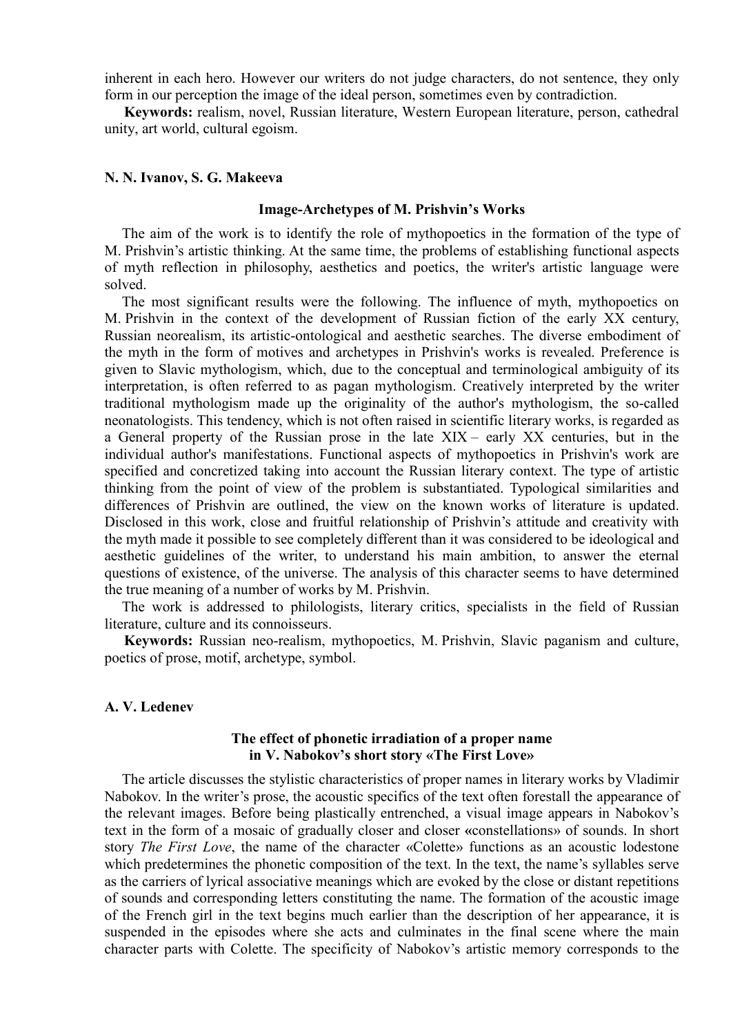inherent in each hero. However our writers do not judge characters, do not sentence, they only form in our perception the image of the ideal person, sometimes even by contradiction.

**Keywords:** realism, novel, Russian literature, Western European literature, person, cathedral unity, art world, cultural egoism.

## **N. N. Ivanov, S. G. Makeeva**

#### **Image-Archetypes of M. Prishvin's Works**

The aim of the work is to identify the role of mythopoetics in the formation of the type of M. Prishvin's artistic thinking. At the same time, the problems of establishing functional aspects of myth reflection in philosophy, aesthetics and poetics, the writer's artistic language were solved.

The most significant results were the following. The influence of myth, mythopoetics on M. Prishvin in the context of the development of Russian fiction of the early XX century, Russian neorealism, its artistic-ontological and aesthetic searches. The diverse embodiment of the myth in the form of motives and archetypes in Prishvin's works is revealed. Preference is given to Slavic mythologism, which, due to the conceptual and terminological ambiguity of its interpretation, is often referred to as pagan mythologism. Creatively interpreted by the writer traditional mythologism made up the originality of the author's mythologism, the so-called neonatologists. This tendency, which is not often raised in scientific literary works, is regarded as a General property of the Russian prose in the late XIX – early XX centuries, but in the individual author's manifestations. Functional aspects of mythopoetics in Prishvin's work are specified and concretized taking into account the Russian literary context. The type of artistic thinking from the point of view of the problem is substantiated. Typological similarities and differences of Prishvin are outlined, the view on the known works of literature is updated. Disclosed in this work, close and fruitful relationship of Prishvin's attitude and creativity with the myth made it possible to see completely different than it was considered to be ideological and aesthetic guidelines of the writer, to understand his main ambition, to answer the eternal questions of existence, of the universe. The analysis of this character seems to have determined the true meaning of a number of works by M. Prishvin.

The work is addressed to philologists, literary critics, specialists in the field of Russian literature, culture and its connoisseurs.

**Keywords:** Russian neo-realism, mythopoetics, M. Prishvin, Slavic paganism and culture, poetics of prose, motif, archetype, symbol.

### **A. V. Ledenev**

# **The effect of phonetic irradiation of a proper name in V. Nabokov's short story «The First Love»**

The article discusses the stylistic characteristics of proper names in literary works by Vladimir Nabokov. In the writer's prose, the acoustic specifics of the text often forestall the appearance of the relevant images. Before being plastically entrenched, a visual image appears in Nabokov's text in the form of a mosaic of gradually closer and closer **«**constellations» of sounds. In short story *The First Love*, the name of the character «Colette» functions as an acoustic lodestone which predetermines the phonetic composition of the text. In the text, the name's syllables serve as the carriers of lyrical associative meanings which are evoked by the close or distant repetitions of sounds and corresponding letters constituting the name. The formation of the acoustic image of the French girl in the text begins much earlier than the description of her appearance, it is suspended in the episodes where she acts and culminates in the final scene where the main character parts with Colette. The specificity of Nabokov's artistic memory corresponds to the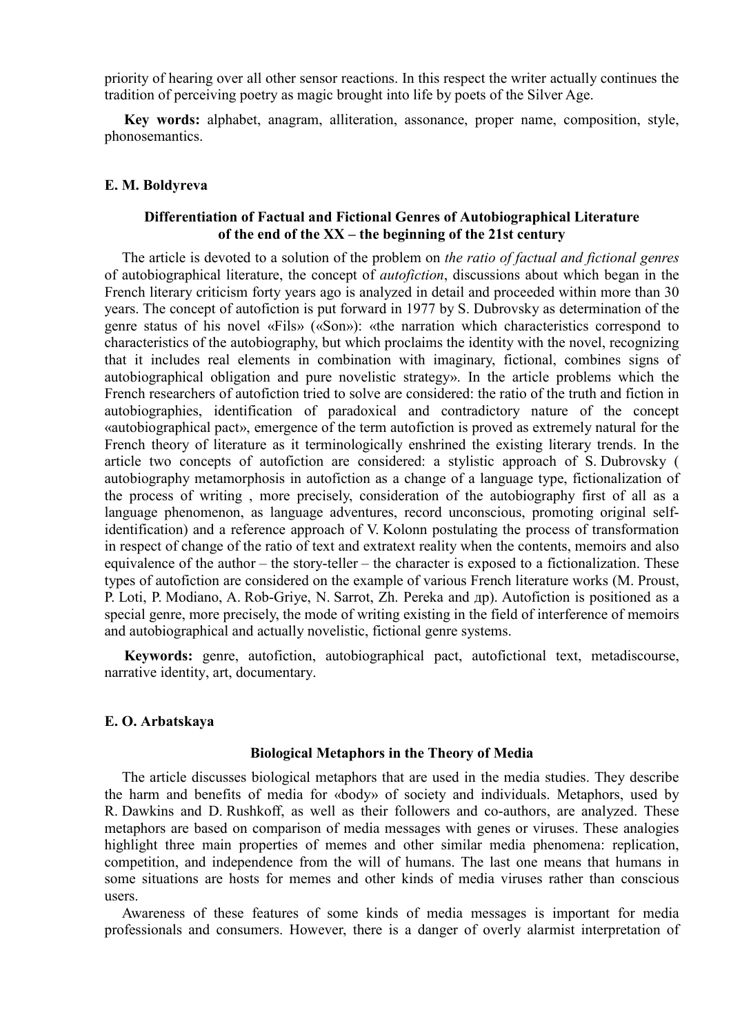priority of hearing over all other sensor reactions. In this respect the writer actually continues the tradition of perceiving poetry as magic brought into life by poets of the Silver Age.

**Key words:** аlphabet, anagram, alliteration, assonance, proper name, composition, style, phonosemantics.

### **E. M. Boldyreva**

# **Differentiation of Factual and Fictional Genres of Autobiographical Literature of the end of the XX – the beginning of the 21st century**

The article is devoted to a solution of the problem on *the ratio of factual and fictional genres* of autobiographical literature, the concept of *autofiction*, discussions about which began in the French literary criticism forty years ago is analyzed in detail and proceeded within more than 30 years. The concept of autofiction is put forward in 1977 by S. Dubrovsky as determination of the genre status of his novel «Fils» («Son»): «the narration which characteristics correspond to characteristics of the autobiography, but which proclaims the identity with the novel, recognizing that it includes real elements in combination with imaginary, fictional, combines signs of autobiographical obligation and pure novelistic strategy». In the article problems which the French researchers of autofiction tried to solve are considered: the ratio of the truth and fiction in autobiographies, identification of paradoxical and contradictory nature of the concept «autobiographical pact», emergence of the term autofiction is proved as extremely natural for the French theory of literature as it terminologically enshrined the existing literary trends. In the article two concepts of autofiction are considered: a stylistic approach of S. Dubrovsky ( autobiography metamorphosis in autofiction as a change of a language type, fictionalization of the process of writing , more precisely, consideration of the autobiography first of all as a language phenomenon, as language adventures, record unconscious, promoting original selfidentification) and a reference approach of V. Kolonn postulating the process of transformation in respect of change of the ratio of text and extratext reality when the contents, memoirs and also equivalence of the author – the story-teller – the character is exposed to a fictionalization. These types of autofiction are considered on the example of various French literature works (M. Proust, P. Loti, P. Modiano, A. Rob-Griye, N. Sarrot, Zh. Pereka and др). Autofiction is positioned as a special genre, more precisely, the mode of writing existing in the field of interference of memoirs and autobiographical and actually novelistic, fictional genre systems.

**Keywords:** genre, autofiction, autobiographical pact, autofictional text, metadiscourse, narrative identity, art, documentary.

### **E. O. Arbatskaya**

#### **Biological Metaphors in the Theory of Media**

The article discusses biological metaphors that are used in the media studies. They describe the harm and benefits of media for «body» of society and individuals. Metaphors, used by R. Dawkins and D. Rushkoff, as well as their followers and co-authors, are analyzed. These metaphors are based on comparison of media messages with genes or viruses. These analogies highlight three main properties of memes and other similar media phenomena: replication, competition, and independence from the will of humans. The last one means that humans in some situations are hosts for memes and other kinds of media viruses rather than conscious users.

Awareness of these features of some kinds of media messages is important for media professionals and consumers. However, there is a danger of overly alarmist interpretation of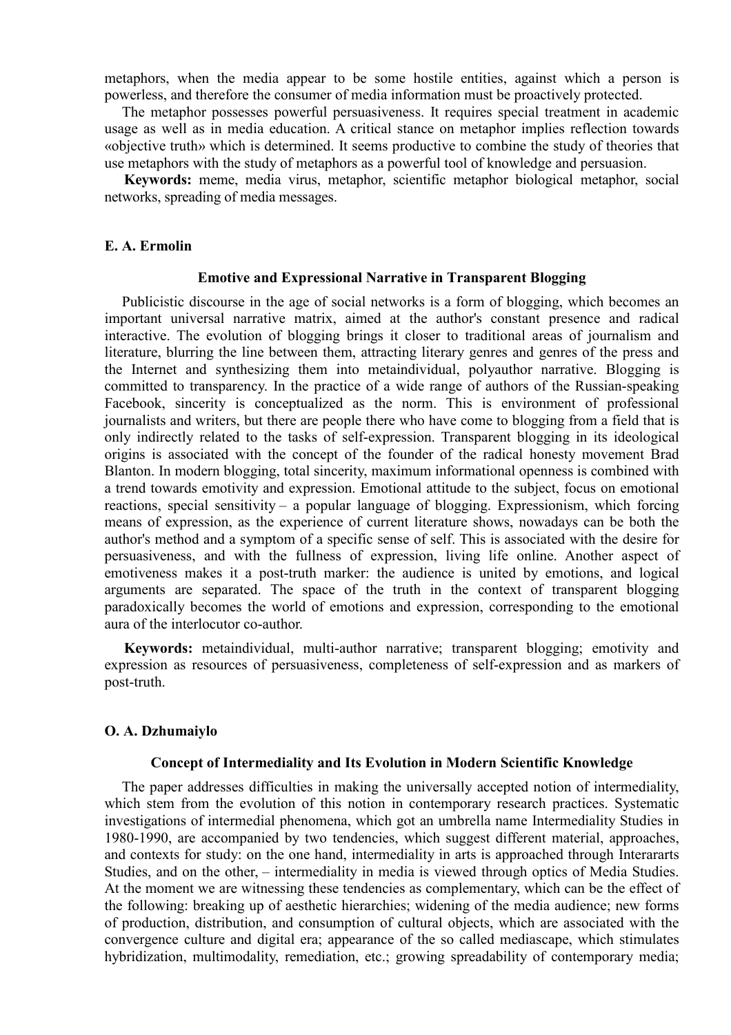metaphors, when the media appear to be some hostile entities, against which a person is powerless, and therefore the consumer of media information must be proactively protected.

The metaphor possesses powerful persuasiveness. It requires special treatment in academic usage as well as in media education. A critical stance on metaphor implies reflection towards «objective truth» which is determined. It seems productive to combine the study of theories that use metaphors with the study of metaphors as a powerful tool of knowledge and persuasion.

**Keywords:** meme, media virus, metaphor, scientific metaphor biological metaphor, social networks, spreading of media messages.

### **E. A. Ermolin**

# **Emotive and Expressional Narrative in Transparent Blogging**

Publicistic discourse in the age of social networks is a form of blogging, which becomes an important universal narrative matrix, aimed at the author's constant presence and radical interactive. The evolution of blogging brings it closer to traditional areas of journalism and literature, blurring the line between them, attracting literary genres and genres of the press and the Internet and synthesizing them into metaindividual, polyauthor narrative. Blogging is committed to transparency. In the practice of a wide range of authors of the Russian-speaking Facebook, sincerity is conceptualized as the norm. This is environment of professional journalists and writers, but there are people there who have come to blogging from a field that is only indirectly related to the tasks of self-expression. Transparent blogging in its ideological origins is associated with the concept of the founder of the radical honesty movement Brad Blanton. In modern blogging, total sincerity, maximum informational openness is combined with a trend towards emotivity and expression. Emotional attitude to the subject, focus on emotional reactions, special sensitivity – a popular language of blogging. Expressionism, which forcing means of expression, as the experience of current literature shows, nowadays can be both the author's method and a symptom of a specific sense of self. This is associated with the desire for persuasiveness, and with the fullness of expression, living life online. Another aspect of emotiveness makes it a post-truth marker: the audience is united by emotions, and logical arguments are separated. The space of the truth in the context of transparent blogging paradoxically becomes the world of emotions and expression, corresponding to the emotional aura of the interlocutor co-author.

**Keywords:** metaindividual, multi-author narrative; transparent blogging; emotivity and expression as resources of persuasiveness, completeness of self-expression and as markers of post-truth.

#### **O. A. Dzhumaiylo**

## **Concept of Intermediality and Its Evolution in Modern Scientific Knowledge**

The paper addresses difficulties in making the universally accepted notion of intermediality, which stem from the evolution of this notion in contemporary research practices. Systematic investigations of intermedial phenomena, which got an umbrella name Intermediality Studies in 1980-1990, are accompanied by two tendencies, which suggest different material, approaches, and contexts for study: on the one hand, intermediality in arts is approached through Interararts Studies, and on the other, – intermediality in media is viewed through optics of Media Studies. At the moment we are witnessing these tendencies as complementary, which can be the effect of the following: breaking up of aesthetic hierarchies; widening of the media audience; new forms of production, distribution, and consumption of cultural objects, which are associated with the convergence culture and digital era; appearance of the so called mediascape, which stimulates hybridization, multimodality, remediation, etc.; growing spreadability of contemporary media;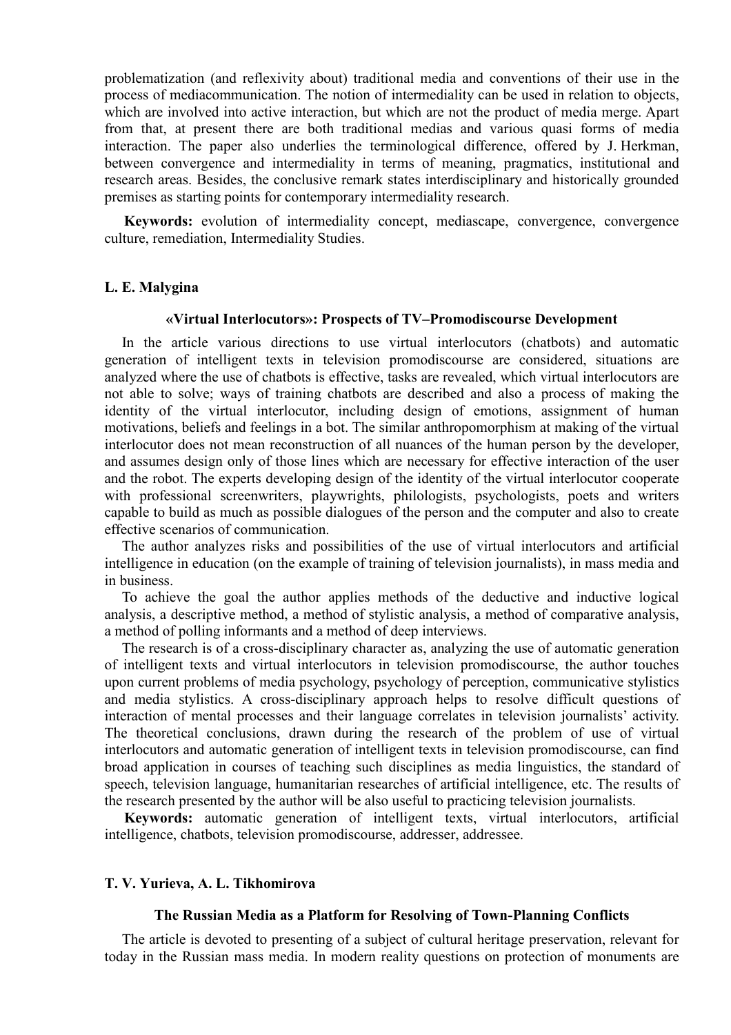problematization (and reflexivity about) traditional media and conventions of their use in the process of mediacommunication. The notion of intermediality can be used in relation to objects, which are involved into active interaction, but which are not the product of media merge. Apart from that, at present there are both traditional medias and various quasi forms of media interaction. The paper also underlies the terminological difference, offered by J. Herkman, between convergence and intermediality in terms of meaning, pragmatics, institutional and research areas. Besides, the conclusive remark states interdisciplinary and historically grounded premises as starting points for contemporary intermediality research.

**Keywords:** evolution of intermediality concept, mediascape, convergence, convergence culture, remediation, Intermediality Studies.

## **L. E. Malygina**

# **«Virtual Interlocutors»: Prospects of TV–Promodiscourse Development**

In the article various directions to use virtual interlocutors (chatbots) and automatic generation of intelligent texts in television promodiscourse are considered, situations are analyzed where the use of chatbots is effective, tasks are revealed, which virtual interlocutors are not able to solve; ways of training chatbots are described and also a process of making the identity of the virtual interlocutor, including design of emotions, assignment of human motivations, beliefs and feelings in a bot. The similar anthropomorphism at making of the virtual interlocutor does not mean reconstruction of all nuances of the human person by the developer, and assumes design only of those lines which are necessary for effective interaction of the user and the robot. The experts developing design of the identity of the virtual interlocutor cooperate with professional screenwriters, playwrights, philologists, psychologists, poets and writers capable to build as much as possible dialogues of the person and the computer and also to create effective scenarios of communication.

The author analyzes risks and possibilities of the use of virtual interlocutors and artificial intelligence in education (on the example of training of television journalists), in mass media and in business.

To achieve the goal the author applies methods of the deductive and inductive logical analysis, a descriptive method, a method of stylistic analysis, a method of comparative analysis, a method of polling informants and a method of deep interviews.

The research is of a cross-disciplinary character as, analyzing the use of automatic generation of intelligent texts and virtual interlocutors in television promodiscourse, the author touches upon current problems of media psychology, psychology of perception, communicative stylistics and media stylistics. A cross-disciplinary approach helps to resolve difficult questions of interaction of mental processes and their language correlates in television journalists' activity. The theoretical conclusions, drawn during the research of the problem of use of virtual interlocutors and automatic generation of intelligent texts in television promodiscourse, can find broad application in courses of teaching such disciplines as media linguistics, the standard of speech, television language, humanitarian researches of artificial intelligence, etc. The results of the research presented by the author will be also useful to practicing television journalists.

**Keywords:** automatic generation of intelligent texts, virtual interlocutors, artificial intelligence, chatbots, television promodiscourse, addresser, addressee.

# **T. V. Yurieva, A. L. Tikhomirova**

### **The Russian Media as a Platform for Resolving of Town-Planning Conflicts**

The article is devoted to presenting of a subject of cultural heritage preservation, relevant for today in the Russian mass media. In modern reality questions on protection of monuments are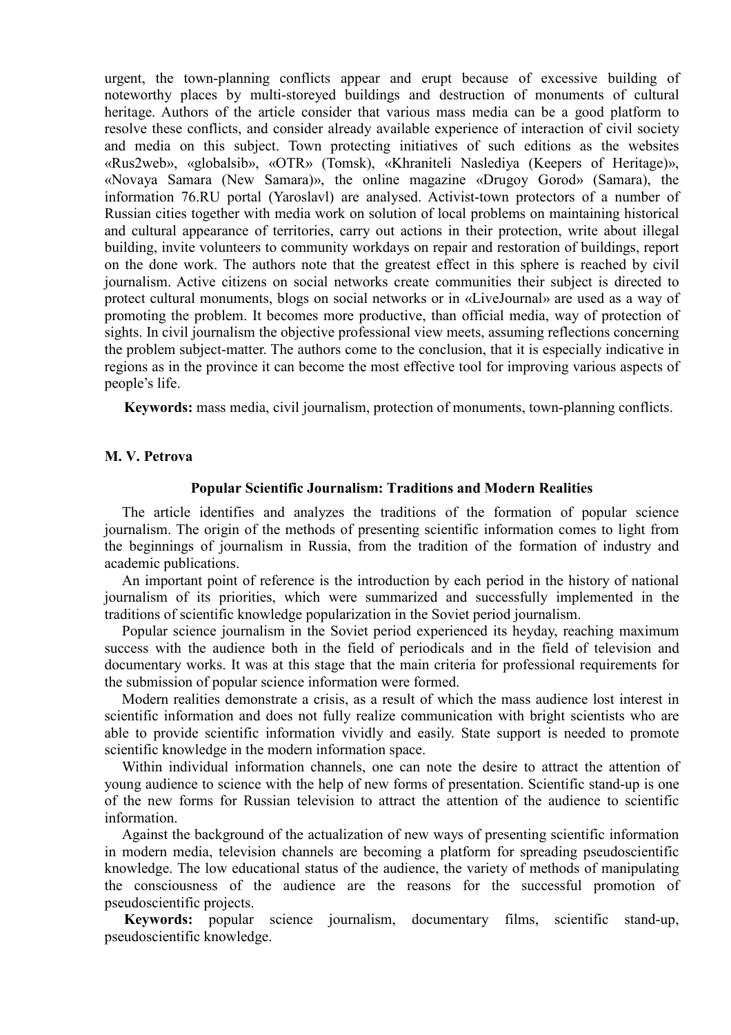urgent, the town-planning conflicts appear and erupt because of excessive building of noteworthy places by multi-storeyed buildings and destruction of monuments of cultural heritage. Authors of the article consider that various mass media can be a good platform to resolve these conflicts, and consider already available experience of interaction of civil society and media on this subject. Town protecting initiatives of such editions as the websites «Rus2web», «globalsib», «OTR» (Tomsk), «Khraniteli Naslediya (Keepers of Heritage)», «Novaya Samara (New Samara)», the online magazine «Drugoy Gorod» (Samara), the information 76.RU portal (Yaroslavl) are analysed. Activist-town protectors of a number of Russian cities together with media work on solution of local problems on maintaining historical and cultural appearance of territories, carry out actions in their protection, write about illegal building, invite volunteers to community workdays on repair and restoration of buildings, report on the done work. The authors note that the greatest effect in this sphere is reached by civil journalism. Active citizens on social networks create communities their subject is directed to protect cultural monuments, blogs on social networks or in «LiveJournal» are used as a way of promoting the problem. It becomes more productive, than official media, way of protection of sights. In civil journalism the objective professional view meets, assuming reflections concerning the problem subject-matter. The authors come to the conclusion, that it is especially indicative in regions as in the province it can become the most effective tool for improving various aspects of people's life.

**Keywords:** mass media, civil journalism, protection of monuments, town-planning conflicts.

# **M. V. Petrova**

#### **Popular Scientific Journalism: Traditions and Modern Realities**

The article identifies and analyzes the traditions of the formation of popular science journalism. The origin of the methods of presenting scientific information comes to light from the beginnings of journalism in Russia, from the tradition of the formation of industry and academic publications.

An important point of reference is the introduction by each period in the history of national journalism of its priorities, which were summarized and successfully implemented in the traditions of scientific knowledge popularization in the Soviet period journalism.

Popular science journalism in the Soviet period experienced its heyday, reaching maximum success with the audience both in the field of periodicals and in the field of television and documentary works. It was at this stage that the main criteria for professional requirements for the submission of popular science information were formed.

Modern realities demonstrate a crisis, as a result of which the mass audience lost interest in scientific information and does not fully realize communication with bright scientists who are able to provide scientific information vividly and easily. State support is needed to promote scientific knowledge in the modern information space.

Within individual information channels, one can note the desire to attract the attention of young audience to science with the help of new forms of presentation. Scientific stand-up is one of the new forms for Russian television to attract the attention of the audience to scientific information.

Against the background of the actualization of new ways of presenting scientific information in modern media, television channels are becoming a platform for spreading pseudoscientific knowledge. The low educational status of the audience, the variety of methods of manipulating the consciousness of the audience are the reasons for the successful promotion of pseudoscientific projects.

**Keywords:** popular science journalism, documentary films, scientific stand-up, pseudoscientific knowledge.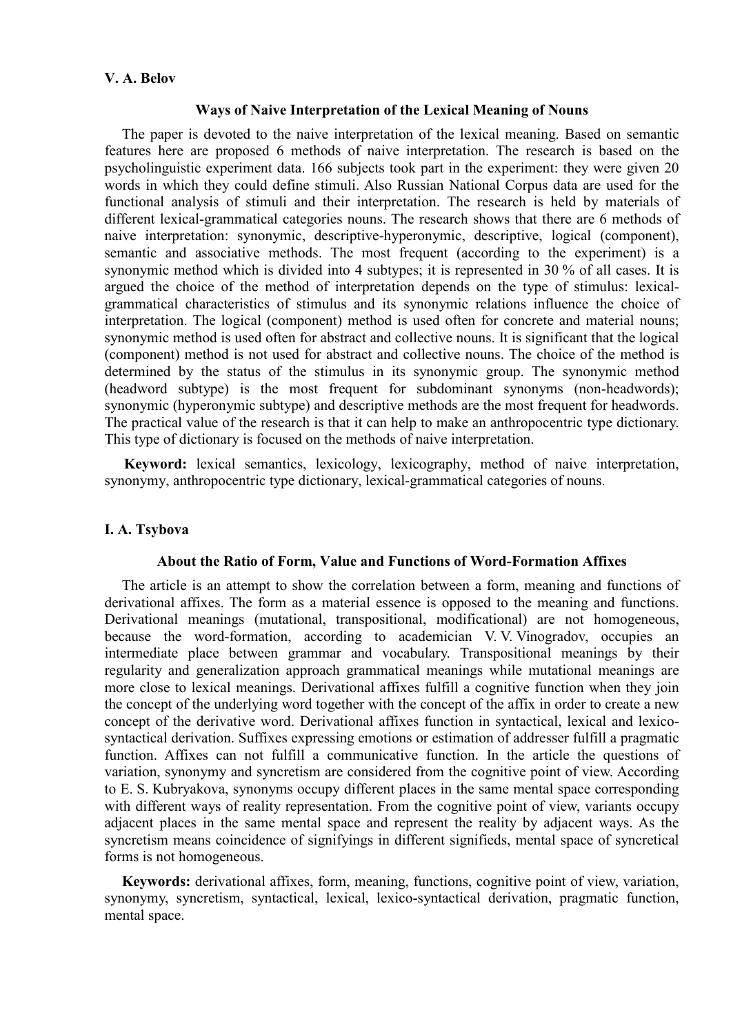# **V. A. Belov**

### **Ways of Naive Interpretation of the Lexical Meaning of Nouns**

The paper is devoted to the naive interpretation of the lexical meaning. Based on semantic features here are proposed 6 methods of naive interpretation. The research is based on the psycholinguistic experiment data. 166 subjects took part in the experiment: they were given 20 words in which they could define stimuli. Also Russian National Corpus data are used for the functional analysis of stimuli and their interpretation. The research is held by materials of different lexical-grammatical categories nouns. The research shows that there are 6 methods of naive interpretation: synonymic, descriptive-hyperonymic, descriptive, logical (component), semantic and associative methods. The most frequent (according to the experiment) is a synonymic method which is divided into 4 subtypes; it is represented in 30 % of all cases. It is argued the choice of the method of interpretation depends on the type of stimulus: lexicalgrammatical characteristics of stimulus and its synonymic relations influence the choice of interpretation. The logical (component) method is used often for concrete and material nouns; synonymic method is used often for abstract and collective nouns. It is significant that the logical (component) method is not used for abstract and collective nouns. The choice of the method is determined by the status of the stimulus in its synonymic group. The synonymic method (headword subtype) is the most frequent for subdominant synonyms (non-headwords); synonymic (hyperonymic subtype) and descriptive methods are the most frequent for headwords. The practical value of the research is that it can help to make an anthropocentric type dictionary. This type of dictionary is focused on the methods of naive interpretation.

**Keyword:** lexical semantics, lexicology, lexicography, method of naive interpretation, synonymy, anthropocentric type dictionary, lexical-grammatical categories of nouns.

# **I. A. Tsybova**

# **About the Ratio of Form, Value and Functions of Word-Formation Affixes**

The article is an attempt to show the correlation between a form, meaning and functions of derivational affixes. The form as a material essence is opposed to the meaning and functions. Derivational meanings (mutational, transpositional, modificational) are not homogeneous, because the word-formation, according to academician V. V. Vinogradov, occupies an intermediate place between grammar and vocabulary. Transpositional meanings by their regularity and generalization approach grammatical meanings while mutational meanings are more close to lexical meanings. Derivational affixes fulfill a cognitive function when they join the concept of the underlying word together with the concept of the affix in order to create a new concept of the derivative word. Derivational affixes function in syntactical, lexical and lexicosyntactical derivation. Suffixes expressing emotions or estimation of addresser fulfill a pragmatic function. Affixes can not fulfill a communicative function. In the article the questions of variation, synonymy and syncretism are considered from the cognitive point of view. According to E. S. Kubryakova, synonyms occupy different places in the same mental space corresponding with different ways of reality representation. From the cognitive point of view, variants occupy adjacent places in the same mental space and represent the reality by adjacent ways. As the syncretism means coincidence of signifyings in different signifieds, mental space of syncretical forms is not homogeneous.

**Keywords:** derivational affixes, form, meaning, functions, cognitive point of view, variation, synonymy, syncretism, syntactical, lexical, lexico-syntactical derivation, pragmatic function, mental space.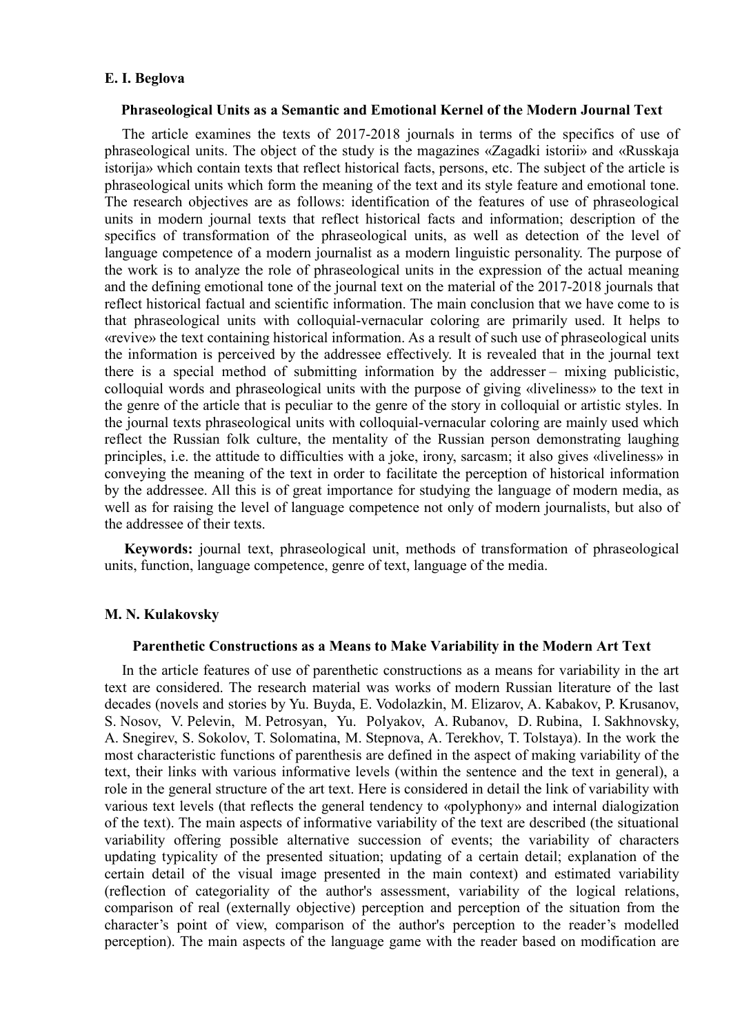### **E. I. Beglova**

### **Phraseological Units as a Semantic and Emotional Kernel of the Modern Journal Text**

The article examines the texts of 2017-2018 journals in terms of the specifics of use of phraseological units. The object of the study is the magazines «Zagadki istorii» and «Russkaja istorija» which contain texts that reflect historical facts, persons, etc. The subject of the article is phraseological units which form the meaning of the text and its style feature and emotional tone. The research objectives are as follows: identification of the features of use of phraseological units in modern journal texts that reflect historical facts and information; description of the specifics of transformation of the phraseological units, as well as detection of the level of language competence of a modern journalist as a modern linguistic personality. The purpose of the work is to analyze the role of phraseological units in the expression of the actual meaning and the defining emotional tone of the journal text on the material of the 2017-2018 journals that reflect historical factual and scientific information. The main conclusion that we have come to is that phraseological units with colloquial-vernacular coloring are primarily used. It helps to «revive» the text containing historical information. As a result of such use of phraseological units the information is perceived by the addressee effectively. It is revealed that in the journal text there is a special method of submitting information by the addresser – mixing publicistic, colloquial words and phraseological units with the purpose of giving «liveliness» to the text in the genre of the article that is peculiar to the genre of the story in colloquial or artistic styles. In the journal texts phraseological units with colloquial-vernacular coloring are mainly used which reflect the Russian folk culture, the mentality of the Russian person demonstrating laughing principles, i.e. the attitude to difficulties with a joke, irony, sarcasm; it also gives «liveliness» in conveying the meaning of the text in order to facilitate the perception of historical information by the addressee. All this is of great importance for studying the language of modern media, as well as for raising the level of language competence not only of modern journalists, but also of the addressee of their texts.

**Keywords:** journal text, phraseological unit, methods of transformation of phraseological units, function, language competence, genre of text, language of the media.

### **M. N. Kulakovsky**

#### **Parenthetic Constructions as a Means to Make Variability in the Modern Art Text**

In the article features of use of parenthetic constructions as a means for variability in the art text are considered. The research material was works of modern Russian literature of the last decades (novels and stories by Yu. Buyda, E. Vodolazkin, M. Elizarov, A. Kabakov, P. Krusanov, S. Nosov, V. Pelevin, M. Petrosyan, Yu. Polyakov, A. Rubanov, D. Rubina, I. Sakhnovsky, A. Snegirev, S. Sokolov, T. Solomatina, M. Stepnova, A. Terekhov, T. Tolstaya). In the work the most characteristic functions of parenthesis are defined in the aspect of making variability of the text, their links with various informative levels (within the sentence and the text in general), a role in the general structure of the art text. Here is considered in detail the link of variability with various text levels (that reflects the general tendency to «polyphony» and internal dialogization of the text). The main aspects of informative variability of the text are described (the situational variability offering possible alternative succession of events; the variability of characters updating typicality of the presented situation; updating of a certain detail; explanation of the certain detail of the visual image presented in the main context) and estimated variability (reflection of categoriality of the author's assessment, variability of the logical relations, comparison of real (externally objective) perception and perception of the situation from the character's point of view, comparison of the author's perception to the reader's modelled perception). The main aspects of the language game with the reader based on modification are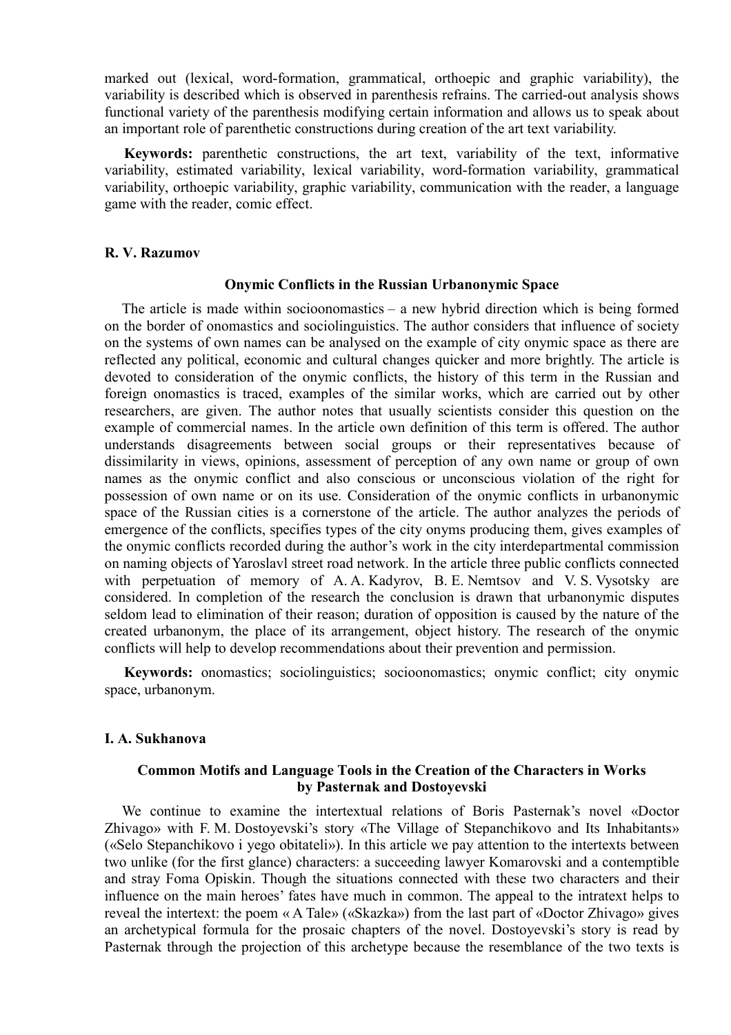marked out (lexical, word-formation, grammatical, orthoepic and graphic variability), the variability is described which is observed in parenthesis refrains. The carried-out analysis shows functional variety of the parenthesis modifying certain information and allows us to speak about an important role of parenthetic constructions during creation of the art text variability.

**Keywords:** parenthetic constructions, the art text, variability of the text, informative variability, estimated variability, lexical variability, word-formation variability, grammatical variability, orthoepic variability, graphic variability, communication with the reader, a language game with the reader, comic effect.

### **R. V. Razumov**

### **Onymic Conflicts in the Russian Urbanonymic Space**

The article is made within socioonomastics – a new hybrid direction which is being formed on the border of onomastics and sociolinguistics. The author considers that influence of society on the systems of own names can be analysed on the example of city onymic space as there are reflected any political, economic and cultural changes quicker and more brightly. The article is devoted to consideration of the onymic conflicts, the history of this term in the Russian and foreign onomastics is traced, examples of the similar works, which are carried out by other researchers, are given. The author notes that usually scientists consider this question on the example of commercial names. In the article own definition of this term is offered. The author understands disagreements between social groups or their representatives because of dissimilarity in views, opinions, assessment of perception of any own name or group of own names as the onymic conflict and also conscious or unconscious violation of the right for possession of own name or on its use. Consideration of the onymic conflicts in urbanonymic space of the Russian cities is a cornerstone of the article. The author analyzes the periods of emergence of the conflicts, specifies types of the city onyms producing them, gives examples of the onymic conflicts recorded during the author's work in the city interdepartmental commission on naming objects of Yaroslavl street road network. In the article three public conflicts connected with perpetuation of memory of A. A. Kadyrov, B. E. Nemtsov and V. S. Vysotsky are considered. In completion of the research the conclusion is drawn that urbanonymic disputes seldom lead to elimination of their reason; duration of opposition is caused by the nature of the created urbanonym, the place of its arrangement, object history. The research of the onymic conflicts will help to develop recommendations about their prevention and permission.

**Keywords:** onomastics; sociolinguistics; socioonomastics; onymic conflict; city onymic space, urbanonym.

# **I. A. Sukhanova**

# **Common Motifs and Language Tools in the Creation of the Characters in Works by Pasternak and Dostoyevski**

We continue to examine the intertextual relations of Boris Pasternak's novel «Doctor Zhivago» with F. M. Dostoyevski's story «The Village of Stepanchikovo and Its Inhabitants» («Selo Stepanchikovo i yego obitateli»). In this article we pay attention to the intertexts between two unlike (for the first glance) characters: a succeeding lawyer Komarovski and a contemptible and stray Foma Opiskin. Though the situations connected with these two characters and their influence on the main heroes' fates have much in common. The appeal to the intratext helps to reveal the intertext: the poem « A Tale» («Skazka») from the last part of «Doctor Zhivago» gives an archetypical formula for the prosaic chapters of the novel. Dostoyevski's story is read by Pasternak through the projection of this archetype because the resemblance of the two texts is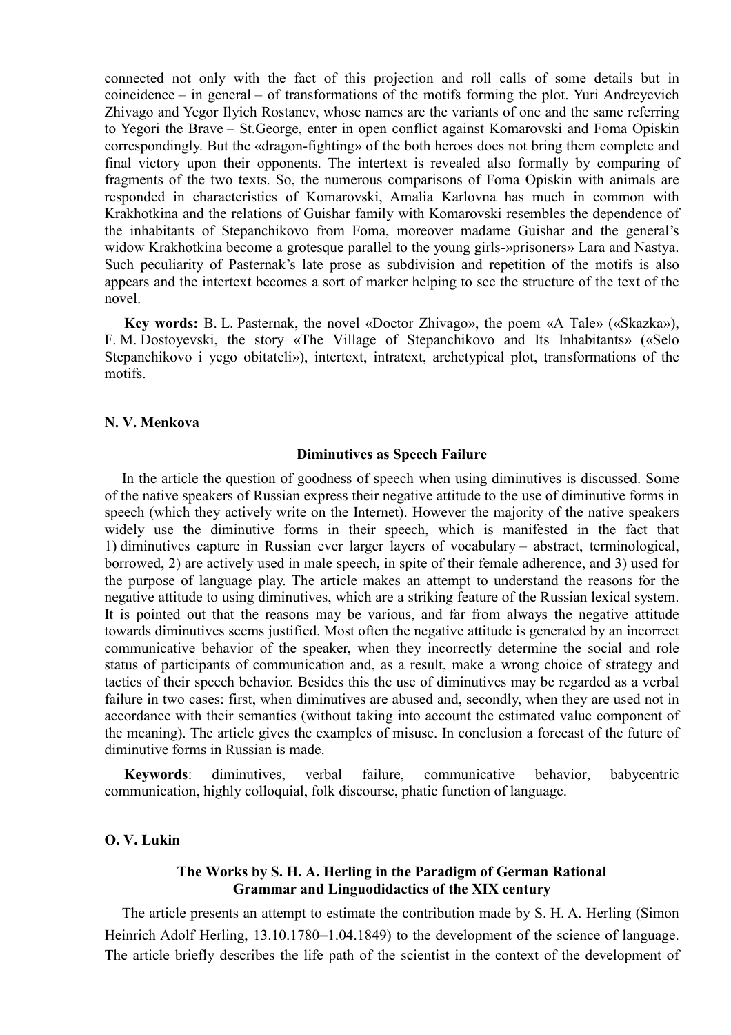connected not only with the fact of this projection and roll calls of some details but in coincidence – in general – of transformations of the motifs forming the plot. Yuri Andreyevich Zhivago and Yegor Ilyich Rostanev, whose names are the variants of one and the same referring to Yegori the Brave – St.George, enter in open conflict against Komarovski and Foma Opiskin correspondingly. But the «dragon-fighting» of the both heroes does not bring them complete and final victory upon their opponents. The intertext is revealed also formally by comparing of fragments of the two texts. So, the numerous comparisons of Foma Opiskin with animals are responded in characteristics of Komarovski, Amalia Karlovna has much in common with Krakhotkina and the relations of Guishar family with Komarovski resembles the dependence of the inhabitants of Stepanchikovo from Foma, moreover madame Guishar and the general's widow Krakhotkina become a grotesque parallel to the young girls-»prisoners» Lara and Nastya. Such peculiarity of Pasternak's late prose as subdivision and repetition of the motifs is also appears and the intertext becomes a sort of marker helping to see the structure of the text of the novel.

**Key words:** B. L. Pasternak, the novel «Doctor Zhivago», the poem «A Tale» («Skazka»), F. M. Dostoyevski, the story «The Village of Stepanchikovo and Its Inhabitants» («Selo Stepanchikovo i yego obitateli»), intertext, intratext, archetypical plot, transformations of the motifs.

### **N. V. Menkova**

### **Diminutives as Speech Failure**

In the article the question of goodness of speech when using diminutives is discussed. Some of the native speakers of Russian express their negative attitude to the use of diminutive forms in speech (which they actively write on the Internet). However the majority of the native speakers widely use the diminutive forms in their speech, which is manifested in the fact that 1) diminutives capture in Russian ever larger layers of vocabulary – abstract, terminological, borrowed, 2) are actively used in male speech, in spite of their female adherence, and 3) used for the purpose of language play. The article makes an attempt to understand the reasons for the negative attitude to using diminutives, which are a striking feature of the Russian lexical system. It is pointed out that the reasons may be various, and far from always the negative attitude towards diminutives seems justified. Most often the negative attitude is generated by an incorrect communicative behavior of the speaker, when they incorrectly determine the social and role status of participants of communication and, as a result, make a wrong choice of strategy and tactics of their speech behavior. Besides this the use of diminutives may be regarded as a verbal failure in two cases: first, when diminutives are abused and, secondly, when they are used not in accordance with their semantics (without taking into account the estimated value component of the meaning). The article gives the examples of misuse. In conclusion a forecast of the future of diminutive forms in Russian is made.

**Keywords**: diminutives, verbal failure, communicative behavior, babycentric communication, highly colloquial, folk discourse, phatic function of language.

# **O. V. Lukin**

# **The Works by S. H. A. Herling in the Paradigm of German Rational Grammar and Linguodidactics of the XIX century**

The article presents an attempt to estimate the contribution made by S. H. A. Herling (Simon Heinrich Adolf Herling, 13.10.1780–1.04.1849) to the development of the science of language. The article briefly describes the life path of the scientist in the context of the development of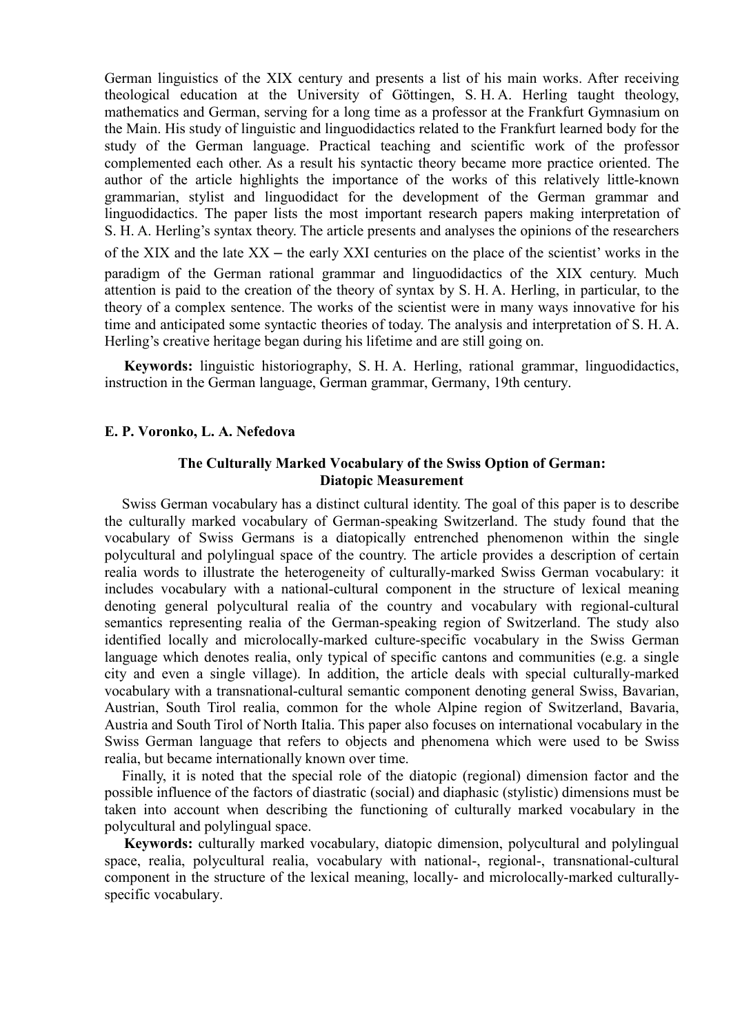German linguistics of the XIX century and presents a list of his main works. After receiving theological education at the University of Göttingen, S. H. A. Herling taught theology, mathematics and German, serving for a long time as a professor at the Frankfurt Gymnasium on the Main. His study of linguistic and linguodidactics related to the Frankfurt learned body for the study of the German language. Practical teaching and scientific work of the professor complemented each other. As a result his syntactic theory became more practice oriented. The author of the article highlights the importance of the works of this relatively little-known grammarian, stylist and linguodidact for the development of the German grammar and linguodidactics. The paper lists the most important research papers making interpretation of S. H. A. Herling's syntax theory. The article presents and analyses the opinions of the researchers of the XIX and the late  $XX$  – the early XXI centuries on the place of the scientist' works in the paradigm of the German rational grammar and linguodidactics of the XIX century. Much attention is paid to the creation of the theory of syntax by S. H. A. Herling, in particular, to the theory of a complex sentence. The works of the scientist were in many ways innovative for his time and anticipated some syntactic theories of today. The analysis and interpretation of S. H. A. Herling's creative heritage began during his lifetime and are still going on.

**Keywords:** linguistic historiography, S. H. A. Herling, rational grammar, linguodidactics, instruction in the German language, German grammar, Germany, 19th century.

# **E. P. Voronko, L. A. Nefedova**

# **The Culturally Marked Vocabulary of the Swiss Option of German: Diatopic Measurement**

Swiss German vocabulary has a distinct cultural identity. The goal of this paper is to describe the culturally marked vocabulary of German-speaking Switzerland. The study found that the vocabulary of Swiss Germans is a diatopically entrenched phenomenon within the single polycultural and polylingual space of the country. The article provides a description of certain realia words to illustrate the heterogeneity of culturally-marked Swiss German vocabulary: it includes vocabulary with a national-cultural component in the structure of lexical meaning denoting general polycultural realia of the country and vocabulary with regional-cultural semantics representing realia of the German-speaking region of Switzerland. The study also identified locally and microlocally-marked culture-specific vocabulary in the Swiss German language which denotes realia, only typical of specific cantons and communities (e.g. a single city and even a single village). In addition, the article deals with special culturally-marked vocabulary with a transnational-cultural semantic component denoting general Swiss, Bavarian, Austrian, South Tirol realia, common for the whole Alpine region of Switzerland, Bavaria, Austria and South Tirol of North Italia. This paper also focuses on international vocabulary in the Swiss German language that refers to objects and phenomena which were used to be Swiss realia, but became internationally known over time.

Finally, it is noted that the special role of the diatopic (regional) dimension factor and the possible influence of the factors of diastratic (social) and diaphasic (stylistic) dimensions must be taken into account when describing the functioning of culturally marked vocabulary in the polycultural and polylingual space.

**Keywords:** culturally marked vocabulary, diatopic dimension, polycultural and polylingual space, realia, polycultural realia, vocabulary with national-, regional-, transnational-cultural component in the structure of the lexical meaning, locally- and microlocally-marked culturallyspecific vocabulary.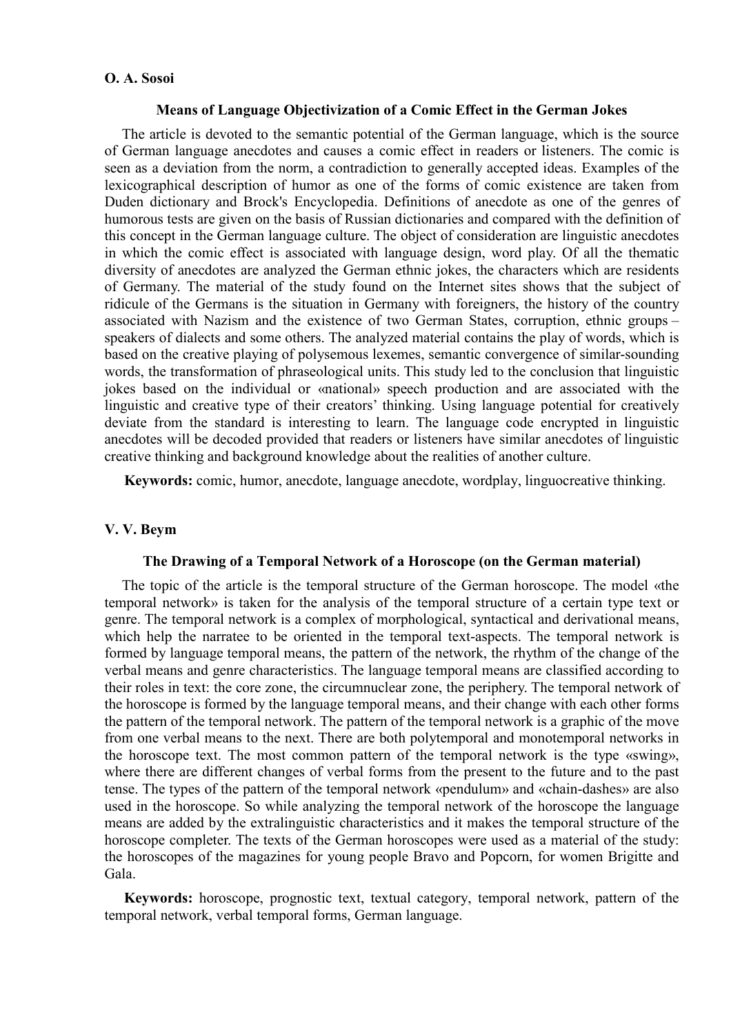# **O. A. Sosoi**

### **Means of Language Objectivization of a Comic Effect in the German Jokes**

The article is devoted to the semantic potential of the German language, which is the source of German language anecdotes and causes a comic effect in readers or listeners. The comic is seen as a deviation from the norm, a contradiction to generally accepted ideas. Examples of the lexicographical description of humor as one of the forms of comic existence are taken from Duden dictionary and Brock's Encyclopedia. Definitions of anecdote as one of the genres of humorous tests are given on the basis of Russian dictionaries and compared with the definition of this concept in the German language culture. The object of consideration are linguistic anecdotes in which the comic effect is associated with language design, word play. Of all the thematic diversity of anecdotes are analyzed the German ethnic jokes, the characters which are residents of Germany. The material of the study found on the Internet sites shows that the subject of ridicule of the Germans is the situation in Germany with foreigners, the history of the country associated with Nazism and the existence of two German States, corruption, ethnic groups – speakers of dialects and some others. The analyzed material contains the play of words, which is based on the creative playing of polysemous lexemes, semantic convergence of similar-sounding words, the transformation of phraseological units. This study led to the conclusion that linguistic jokes based on the individual or «national» speech production and are associated with the linguistic and creative type of their creators' thinking. Using language potential for creatively deviate from the standard is interesting to learn. The language code encrypted in linguistic anecdotes will be decoded provided that readers or listeners have similar anecdotes of linguistic creative thinking and background knowledge about the realities of another culture.

**Keywords:** comic, humor, anecdote, language anecdote, wordplay, linguocreative thinking.

# **V. V. Beym**

# **The Drawing of a Temporal Network of a Horoscope (on the German material)**

The topic of the article is the temporal structure of the German horoscope. The model «the temporal network» is taken for the analysis of the temporal structure of a certain type text or genre. The temporal network is a complex of morphological, syntactical and derivational means, which help the narratee to be oriented in the temporal text-aspects. The temporal network is formed by language temporal means, the pattern of the network, the rhythm of the change of the verbal means and genre characteristics. The language temporal means are classified according to their roles in text: the core zone, the circumnuclear zone, the periphery. The temporal network of the horoscope is formed by the language temporal means, and their change with each other forms the pattern of the temporal network. The pattern of the temporal network is a graphic of the move from one verbal means to the next. There are both polytemporal and monotemporal networks in the horoscope text. The most common pattern of the temporal network is the type «swing», where there are different changes of verbal forms from the present to the future and to the past tense. The types of the pattern of the temporal network «pendulum» and «chain-dashes» are also used in the horoscope. So while analyzing the temporal network of the horoscope the language means are added by the extralinguistic characteristics and it makes the temporal structure of the horoscope completer. The texts of the German horoscopes were used as a material of the study: the horoscopes of the magazines for young people Bravo and Popcorn, for women Brigitte and Gala.

**Keywords:** horoscope, prognostic text, textual category, temporal network, pattern of the temporal network, verbal temporal forms, German language.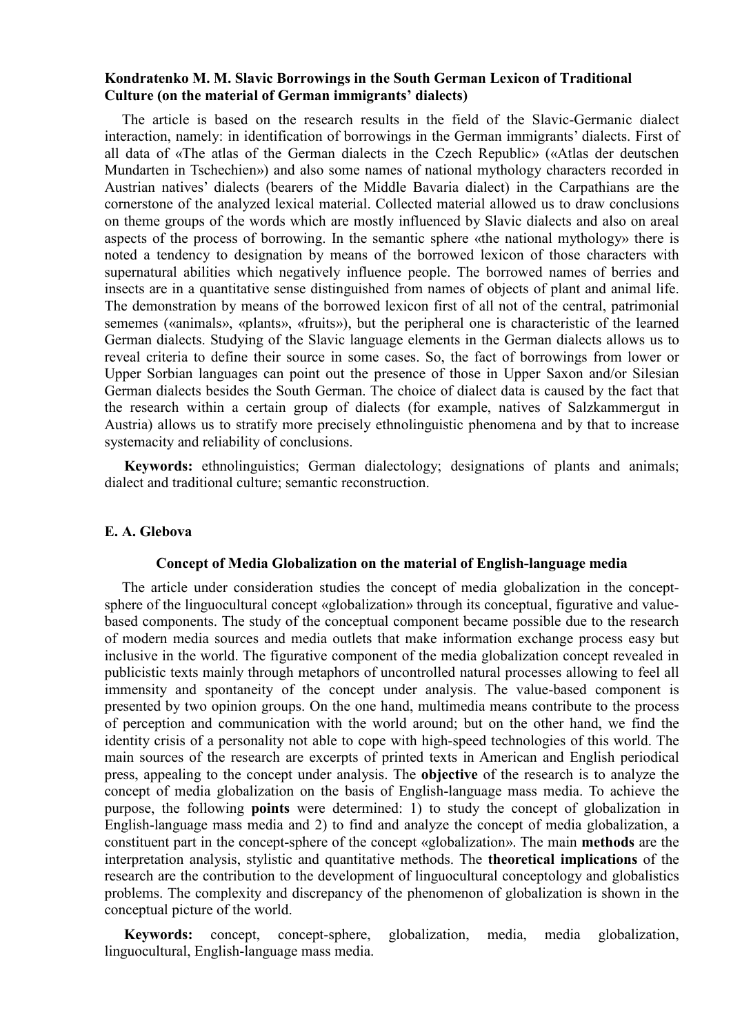# **Kondratenko M. M. Slavic Borrowings in the South German Lexicon of Traditional Culture (on the material of German immigrants' dialects)**

The article is based on the research results in the field of the Slavic-Germanic dialect interaction, namely: in identification of borrowings in the German immigrants' dialects. First of all data of «The atlas of the German dialects in the Czech Republic» («Atlas der deutschen Mundarten in Tschechien») and also some names of national mythology characters recorded in Austrian natives' dialects (bearers of the Middle Bavaria dialect) in the Carpathians are the cornerstone of the analyzed lexical material. Collected material allowed us to draw conclusions on theme groups of the words which are mostly influenced by Slavic dialects and also on areal aspects of the process of borrowing. In the semantic sphere «the national mythology» there is noted a tendency to designation by means of the borrowed lexicon of those characters with supernatural abilities which negatively influence people. The borrowed names of berries and insects are in a quantitative sense distinguished from names of objects of plant and animal life. The demonstration by means of the borrowed lexicon first of all not of the central, patrimonial sememes («animals», «plants», «fruits»), but the peripheral one is characteristic of the learned German dialects. Studying of the Slavic language elements in the German dialects allows us to reveal criteria to define their source in some cases. So, the fact of borrowings from lower or Upper Sorbian languages can point out the presence of those in Upper Saxon and/or Silesian German dialects besides the South German. The choice of dialect data is caused by the fact that the research within a certain group of dialects (for example, natives of Salzkammergut in Austria) allows us to stratify more precisely ethnolinguistic phenomena and by that to increase systemacity and reliability of conclusions.

**Keywords:** ethnolinguistics; German dialectology; designations of plants and animals; dialect and traditional culture; semantic reconstruction.

### **E. A. Glebova**

### **Concept of Media Globalization on the material of English-language media**

The article under consideration studies the concept of media globalization in the conceptsphere of the linguocultural concept «globalization» through its conceptual, figurative and valuebased components. The study of the conceptual component became possible due to the research of modern media sources and media outlets that make information exchange process easy but inclusive in the world. The figurative component of the media globalization concept revealed in publicistic texts mainly through metaphors of uncontrolled natural processes allowing to feel all immensity and spontaneity of the concept under analysis. The value-based component is presented by two opinion groups. On the one hand, multimedia means contribute to the process of perception and communication with the world around; but on the other hand, we find the identity crisis of a personality not able to cope with high-speed technologies of this world. The main sources of the research are excerpts of printed texts in American and English periodical press, appealing to the concept under analysis. The **objective** of the research is to analyze the concept of media globalization on the basis of English-language mass media. To achieve the purpose, the following **points** were determined: 1) to study the concept of globalization in English-language mass media and 2) to find and analyze the concept of media globalization, a constituent part in the concept-sphere of the concept «globalization». The main **methods** are the interpretation analysis, stylistic and quantitative methods. The **theoretical implications** of the research are the contribution to the development of linguocultural conceptology and globalistics problems. The complexity and discrepancy of the phenomenon of globalization is shown in the conceptual picture of the world.

**Keywords:** concept, concept-sphere, globalization, media, media globalization, linguocultural, English-language mass media.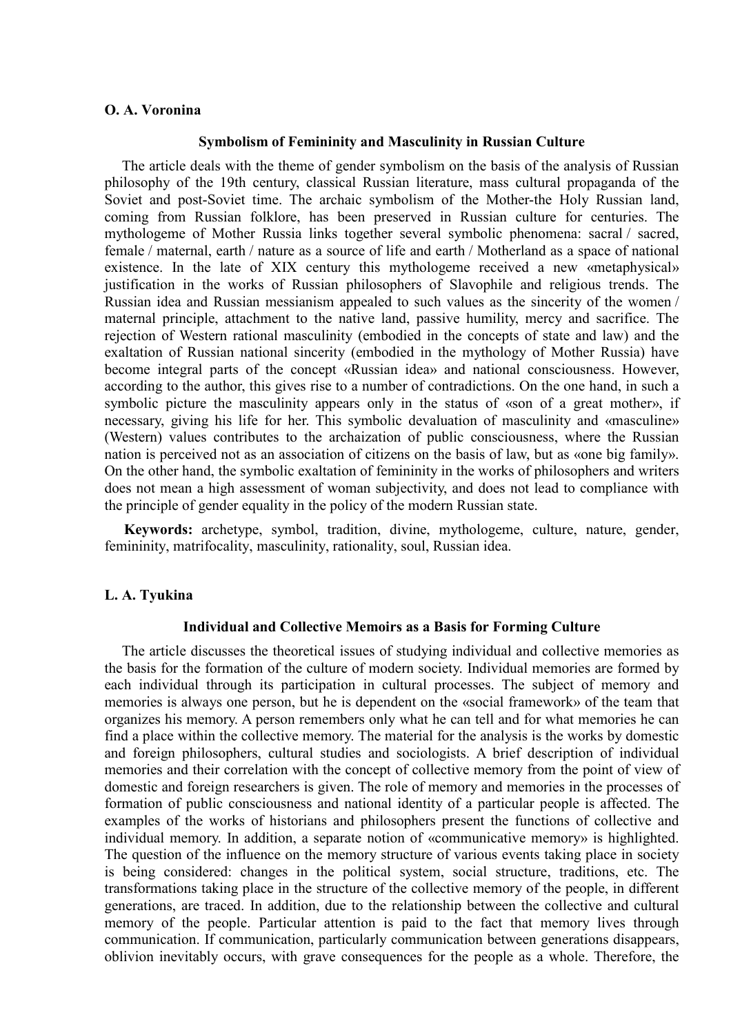### **O. A. Voronina**

#### **Symbolism of Femininity and Masculinity in Russian Culture**

The article deals with the theme of gender symbolism on the basis of the analysis of Russian philosophy of the 19th century, classical Russian literature, mass cultural propaganda of the Soviet and post-Soviet time. The archaic symbolism of the Mother-the Holy Russian land, coming from Russian folklore, has been preserved in Russian culture for centuries. The mythologeme of Mother Russia links together several symbolic phenomena: sacral / sacred, female / maternal, earth / nature as a source of life and earth / Motherland as a space of national existence. In the late of XIX century this mythologeme received a new «metaphysical» justification in the works of Russian philosophers of Slavophile and religious trends. The Russian idea and Russian messianism appealed to such values as the sincerity of the women / maternal principle, attachment to the native land, passive humility, mercy and sacrifice. The rejection of Western rational masculinity (embodied in the concepts of state and law) and the exaltation of Russian national sincerity (embodied in the mythology of Mother Russia) have become integral parts of the concept «Russian idea» and national consciousness. However, according to the author, this gives rise to a number of contradictions. On the one hand, in such a symbolic picture the masculinity appears only in the status of «son of a great mother», if necessary, giving his life for her. This symbolic devaluation of masculinity and «masculine» (Western) values contributes to the archaization of public consciousness, where the Russian nation is perceived not as an association of citizens on the basis of law, but as «one big family». On the other hand, the symbolic exaltation of femininity in the works of philosophers and writers does not mean a high assessment of woman subjectivity, and does not lead to compliance with the principle of gender equality in the policy of the modern Russian state.

**Keywords:** archetype, symbol, tradition, divine, mythologeme, culture, nature, gender, femininity, matrifocality, masculinity, rationality, soul, Russian idea.

### **L. A. Tyukina**

#### **Individual and Сollective Memoirs as a Basis for Forming Culture**

The article discusses the theoretical issues of studying individual and collective memories as the basis for the formation of the culture of modern society. Individual memories are formed by each individual through its participation in cultural processes. The subject of memory and memories is always one person, but he is dependent on the «social framework» of the team that organizes his memory. A person remembers only what he can tell and for what memories he can find a place within the collective memory. The material for the analysis is the works by domestic and foreign philosophers, cultural studies and sociologists. A brief description of individual memories and their correlation with the concept of collective memory from the point of view of domestic and foreign researchers is given. The role of memory and memories in the processes of formation of public consciousness and national identity of a particular people is affected. The examples of the works of historians and philosophers present the functions of collective and individual memory. In addition, a separate notion of «communicative memory» is highlighted. The question of the influence on the memory structure of various events taking place in society is being considered: changes in the political system, social structure, traditions, etc. The transformations taking place in the structure of the collective memory of the people, in different generations, are traced. In addition, due to the relationship between the collective and cultural memory of the people. Particular attention is paid to the fact that memory lives through communication. If communication, particularly communication between generations disappears, oblivion inevitably occurs, with grave consequences for the people as a whole. Therefore, the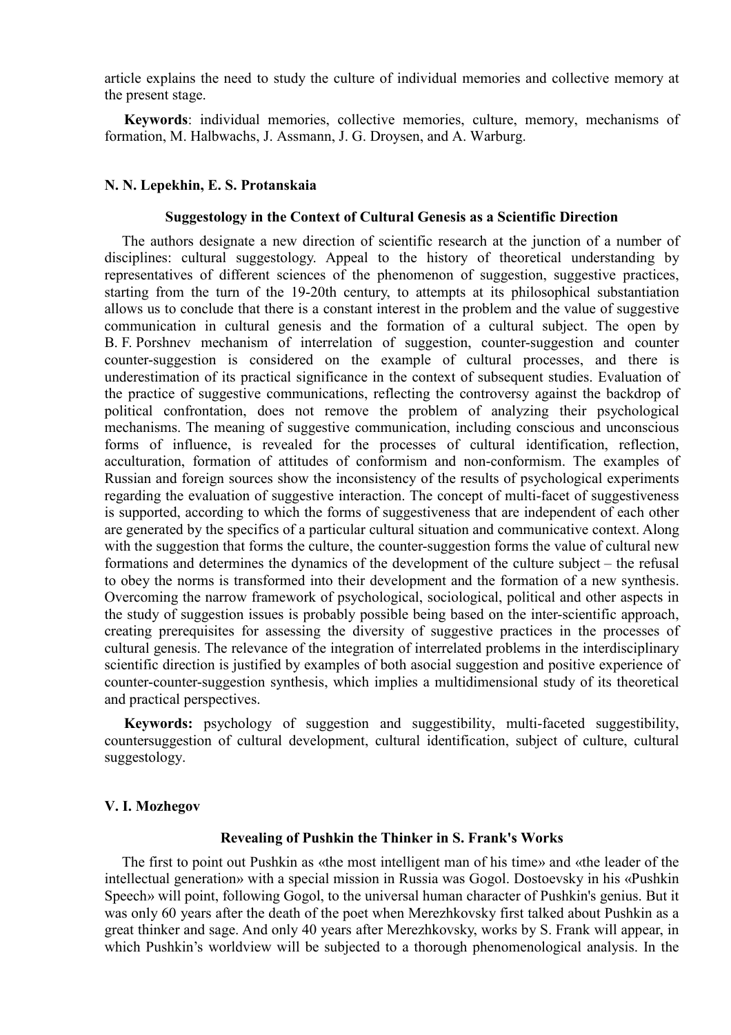article explains the need to study the culture of individual memories and collective memory at the present stage.

**Keywords**: individual memories, collective memories, culture, memory, mechanisms of formation, M. Halbwachs, J. Assmann, J. G. Droysen, and A. Warburg.

### **N. N. Lepekhin, E. S. Protanskaia**

### **Suggestology in the Context of Cultural Genesis as a Scientific Direction**

The authors designate a new direction of scientific research at the junction of a number of disciplines: cultural suggestology. Appeal to the history of theoretical understanding by representatives of different sciences of the phenomenon of suggestion, suggestive practices, starting from the turn of the 19-20th century, to attempts at its philosophical substantiation allows us to conclude that there is a constant interest in the problem and the value of suggestive communication in cultural genesis and the formation of a cultural subject. The open by B. F. Porshnev mechanism of interrelation of suggestion, counter-suggestion and counter counter-suggestion is considered on the example of cultural processes, and there is underestimation of its practical significance in the context of subsequent studies. Evaluation of the practice of suggestive communications, reflecting the controversy against the backdrop of political confrontation, does not remove the problem of analyzing their psychological mechanisms. The meaning of suggestive communication, including conscious and unconscious forms of influence, is revealed for the processes of cultural identification, reflection, acculturation, formation of attitudes of conformism and non-conformism. The examples of Russian and foreign sources show the inconsistency of the results of psychological experiments regarding the evaluation of suggestive interaction. The concept of multi-facet of suggestiveness is supported, according to which the forms of suggestiveness that are independent of each other are generated by the specifics of a particular cultural situation and communicative context. Along with the suggestion that forms the culture, the counter-suggestion forms the value of cultural new formations and determines the dynamics of the development of the culture subject – the refusal to obey the norms is transformed into their development and the formation of a new synthesis. Overcoming the narrow framework of psychological, sociological, political and other aspects in the study of suggestion issues is probably possible being based on the inter-scientific approach, creating prerequisites for assessing the diversity of suggestive practices in the processes of cultural genesis. The relevance of the integration of interrelated problems in the interdisciplinary scientific direction is justified by examples of both asocial suggestion and positive experience of counter-counter-suggestion synthesis, which implies a multidimensional study of its theoretical and practical perspectives.

**Keywords:** psychology of suggestion and suggestibility, multi-faceted suggestibility, countersuggestion of cultural development, cultural identification, subject of culture, cultural suggestology.

### **V. I. Mozhegov**

### **Revealing of Pushkin the Thinker in S. Frank's Works**

The first to point out Pushkin as «the most intelligent man of his time» and «the leader of the intellectual generation» with a special mission in Russia was Gogol. Dostoevsky in his «Pushkin Speech» will point, following Gogol, to the universal human character of Pushkin's genius. But it was only 60 years after the death of the poet when Merezhkovsky first talked about Pushkin as a great thinker and sage. And only 40 years after Merezhkovsky, works by S. Frank will appear, in which Pushkin's worldview will be subjected to a thorough phenomenological analysis. In the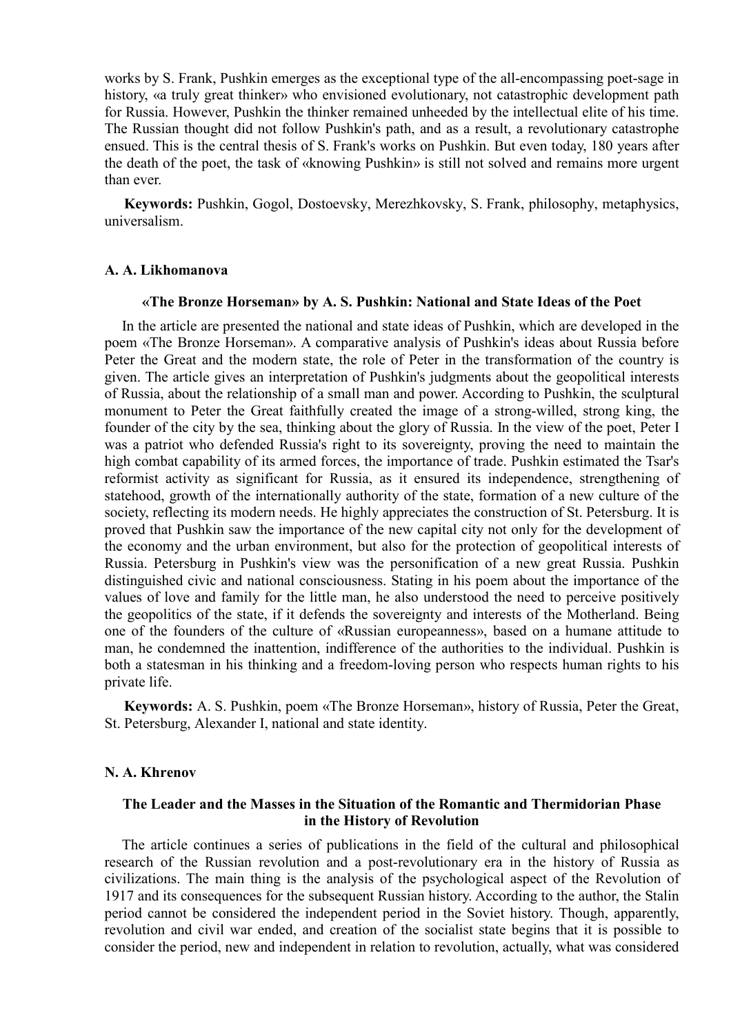works by S. Frank, Pushkin emerges as the exceptional type of the all-encompassing poet-sage in history, «a truly great thinker» who envisioned evolutionary, not catastrophic development path for Russia. However, Pushkin the thinker remained unheeded by the intellectual elite of his time. The Russian thought did not follow Pushkin's path, and as a result, a revolutionary catastrophe ensued. This is the central thesis of S. Frank's works on Pushkin. But even today, 180 years after the death of the poet, the task of «knowing Pushkin» is still not solved and remains more urgent than ever.

**Keywords:** Pushkin, Gogol, Dostoevsky, Merezhkovsky, S. Frank, philosophy, metaphysics, universalism.

### **A. A. Likhomanova**

## **«The Bronze Horseman» by A. S. Pushkin: National and State Ideas of the Poet**

In the article are presented the national and state ideas of Pushkin, which are developed in the poem «The Bronze Horseman». A comparative analysis of Pushkin's ideas about Russia before Peter the Great and the modern state, the role of Peter in the transformation of the country is given. The article gives an interpretation of Pushkin's judgments about the geopolitical interests of Russia, about the relationship of a small man and power. According to Pushkin, the sculptural monument to Peter the Great faithfully created the image of a strong-willed, strong king, the founder of the city by the sea, thinking about the glory of Russia. In the view of the poet, Peter I was a patriot who defended Russia's right to its sovereignty, proving the need to maintain the high combat capability of its armed forces, the importance of trade. Pushkin estimated the Tsar's reformist activity as significant for Russia, as it ensured its independence, strengthening of statehood, growth of the internationally authority of the state, formation of a new culture of the society, reflecting its modern needs. He highly appreciates the construction of St. Petersburg. It is proved that Pushkin saw the importance of the new capital city not only for the development of the economy and the urban environment, but also for the protection of geopolitical interests of Russia. Petersburg in Pushkin's view was the personification of a new great Russia. Pushkin distinguished civic and national consciousness. Stating in his poem about the importance of the values of love and family for the little man, he also understood the need to perceive positively the geopolitics of the state, if it defends the sovereignty and interests of the Motherland. Being one of the founders of the culture of «Russian europeanness», based on a humane attitude to man, he condemned the inattention, indifference of the authorities to the individual. Pushkin is both a statesman in his thinking and a freedom-loving person who respects human rights to his private life.

**Keywords:** A. S. Pushkin, poem «The Bronze Horseman», history of Russia, Peter the Great, St. Petersburg, Alexander I, national and state identity.

## **N. A. Khrenov**

# **The Leader and the Masses in the Situation of the Romantic and Thermidorian Phase in the History of Revolution**

The article continues a series of publications in the field of the cultural and philosophical research of the Russian revolution and a post-revolutionary era in the history of Russia as civilizations. The main thing is the analysis of the psychological aspect of the Revolution of 1917 and its consequences for the subsequent Russian history. According to the author, the Stalin period cannot be considered the independent period in the Soviet history. Though, apparently, revolution and civil war ended, and creation of the socialist state begins that it is possible to consider the period, new and independent in relation to revolution, actually, what was considered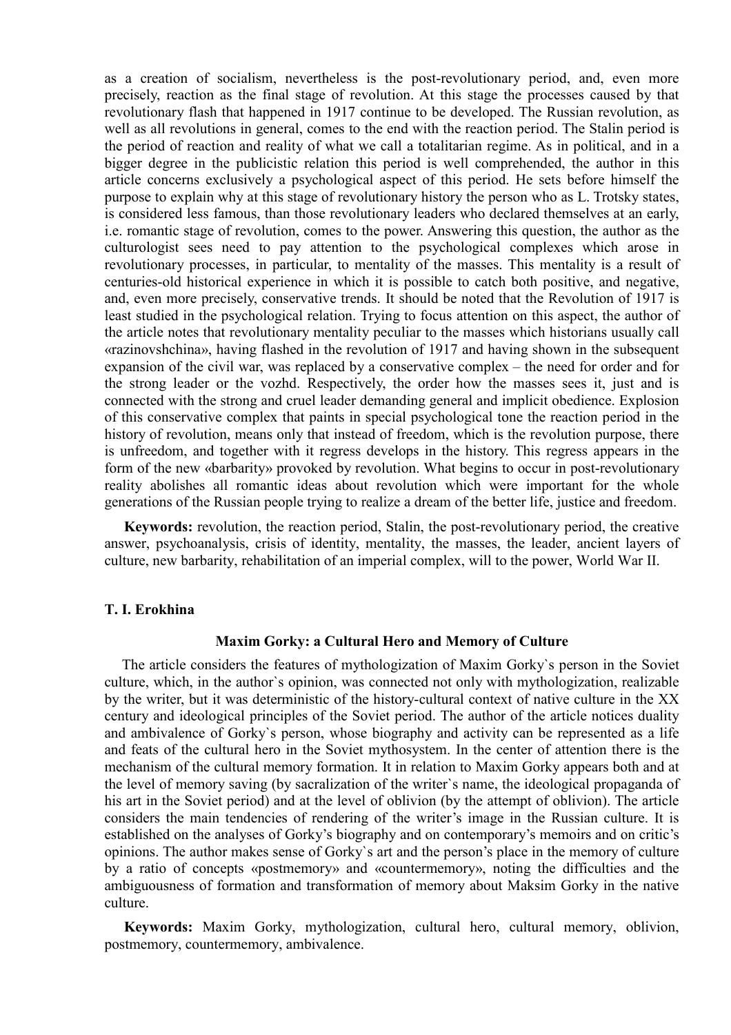as a creation of socialism, nevertheless is the post-revolutionary period, and, even more precisely, reaction as the final stage of revolution. At this stage the processes caused by that revolutionary flash that happened in 1917 continue to be developed. The Russian revolution, as well as all revolutions in general, comes to the end with the reaction period. The Stalin period is the period of reaction and reality of what we call a totalitarian regime. As in political, and in a bigger degree in the publicistic relation this period is well comprehended, the author in this article concerns exclusively a psychological aspect of this period. He sets before himself the purpose to explain why at this stage of revolutionary history the person who as L. Trotsky states, is considered less famous, than those revolutionary leaders who declared themselves at an early, i.e. romantic stage of revolution, comes to the power. Answering this question, the author as the culturologist sees need to pay attention to the psychological complexes which arose in revolutionary processes, in particular, to mentality of the masses. This mentality is a result of centuries-old historical experience in which it is possible to catch both positive, and negative, and, even more precisely, conservative trends. It should be noted that the Revolution of 1917 is least studied in the psychological relation. Trying to focus attention on this aspect, the author of the article notes that revolutionary mentality peculiar to the masses which historians usually call «razinovshchina», having flashed in the revolution of 1917 and having shown in the subsequent expansion of the civil war, was replaced by a conservative complex – the need for order and for the strong leader or the vozhd. Respectively, the order how the masses sees it, just and is connected with the strong and cruel leader demanding general and implicit obedience. Explosion of this conservative complex that paints in special psychological tone the reaction period in the history of revolution, means only that instead of freedom, which is the revolution purpose, there is unfreedom, and together with it regress develops in the history. This regress appears in the form of the new «barbarity» provoked by revolution. What begins to occur in post-revolutionary reality abolishes all romantic ideas about revolution which were important for the whole generations of the Russian people trying to realize a dream of the better life, justice and freedom.

**Keywords:** revolution, the reaction period, Stalin, the post-revolutionary period, the creative answer, psychoanalysis, crisis of identity, mentality, the masses, the leader, ancient layers of culture, new barbarity, rehabilitation of an imperial complex, will to the power, World War II.

### **T. I. Erokhina**

## **Maxim Gorky: a Cultural Hero and Memory of Culture**

The article considers the features of mythologization of Maxim Gorky`s person in the Soviet culture, which, in the author`s opinion, was connected not only with mythologization, realizable by the writer, but it was deterministic of the history-cultural context of native culture in the XX century and ideological principles of the Soviet period. The author of the article notices duality and ambivalence of Gorky`s person, whose biography and activity can be represented as a life and feats of the cultural hero in the Soviet mythosystem. In the center of attention there is the mechanism of the cultural memory formation. It in relation to Maxim Gorky appears both and at the level of memory saving (by sacralization of the writer`s name, the ideological propaganda of his art in the Soviet period) and at the level of oblivion (by the attempt of oblivion). The article considers the main tendencies of rendering of the writer's image in the Russian culture. It is established on the analyses of Gorky's biography and on contemporary's memoirs and on critic's opinions. The author makes sense of Gorky`s art and the person's place in the memory of culture by a ratio of concepts «postmemory» and «countermemory», noting the difficulties and the ambiguousness of formation and transformation of memory about Maksim Gorky in the native culture.

**Keywords:** Maxim Gorky, mythologization, cultural hero, cultural memory, oblivion, postmemory, countermemory, ambivalence.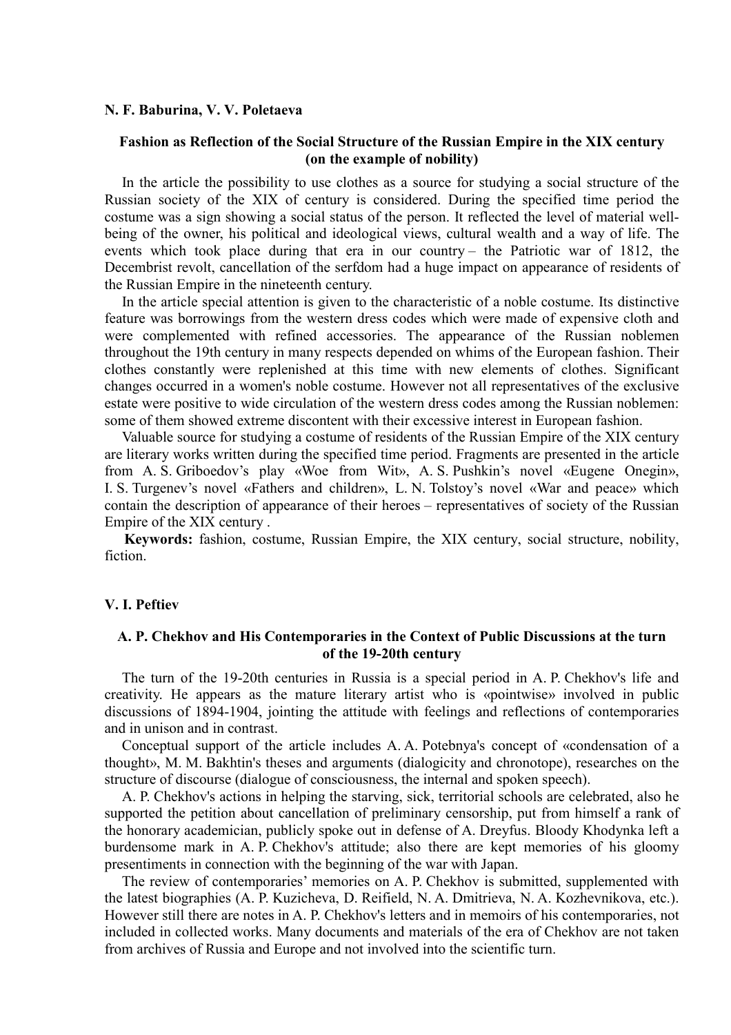#### **N. F. Baburina, V. V. Poletaeva**

# **Fashion as Reflection of the Social Structure of the Russian Empire in the XIX century (on the example of nobility)**

In the article the possibility to use clothes as a source for studying a social structure of the Russian society of the XIX of century is considered. During the specified time period the costume was a sign showing a social status of the person. It reflected the level of material wellbeing of the owner, his political and ideological views, cultural wealth and a way of life. The events which took place during that era in our country – the Patriotic war of 1812, the Decembrist revolt, cancellation of the serfdom had a huge impact on appearance of residents of the Russian Empire in the nineteenth century.

In the article special attention is given to the characteristic of a noble costume. Its distinctive feature was borrowings from the western dress codes which were made of expensive cloth and were complemented with refined accessories. The appearance of the Russian noblemen throughout the 19th century in many respects depended on whims of the European fashion. Their clothes constantly were replenished at this time with new elements of clothes. Significant changes occurred in a women's noble costume. However not all representatives of the exclusive estate were positive to wide circulation of the western dress codes among the Russian noblemen: some of them showed extreme discontent with their excessive interest in European fashion.

Valuable source for studying a costume of residents of the Russian Empire of the XIX century are literary works written during the specified time period. Fragments are presented in the article from A. S. Griboedov's play «Woe from Wit», A. S. Pushkin's novel «Eugene Onegin», I. S. Turgenev's novel «Fathers and children», L. N. Tolstoy's novel «War and peace» which contain the description of appearance of their heroes – representatives of society of the Russian Empire of the XIX century .

**Keywords:** fashion, costume, Russian Empire, the XIX century, social structure, nobility, fiction.

### **V. I. Peftiev**

## **A. P. Chekhov and His Contemporaries in the Context of Public Discussions at the turn of the 19-20th century**

The turn of the 19-20th centuries in Russia is a special period in A. P. Chekhov's life and creativity. He appears as the mature literary artist who is «pointwise» involved in public discussions of 1894-1904, jointing the attitude with feelings and reflections of contemporaries and in unison and in contrast.

Conceptual support of the article includes A. A. Potebnya's concept of «condensation of a thought», M. M. Bakhtin's theses and arguments (dialogicity and chronotope), researches on the structure of discourse (dialogue of consciousness, the internal and spoken speech).

A. P. Chekhov's actions in helping the starving, sick, territorial schools are celebrated, also he supported the petition about cancellation of preliminary censorship, put from himself a rank of the honorary academician, publicly spoke out in defense of A. Dreyfus. Bloody Khodynka left a burdensome mark in A. P. Chekhov's attitude; also there are kept memories of his gloomy presentiments in connection with the beginning of the war with Japan.

The review of contemporaries' memories on A. P. Chekhov is submitted, supplemented with the latest biographies (A. P. Kuzicheva, D. Reifield, N. A. Dmitrieva, N. A. Kozhevnikova, etc.). However still there are notes in A. P. Chekhov's letters and in memoirs of his contemporaries, not included in collected works. Many documents and materials of the era of Chekhov are not taken from archives of Russia and Europe and not involved into the scientific turn.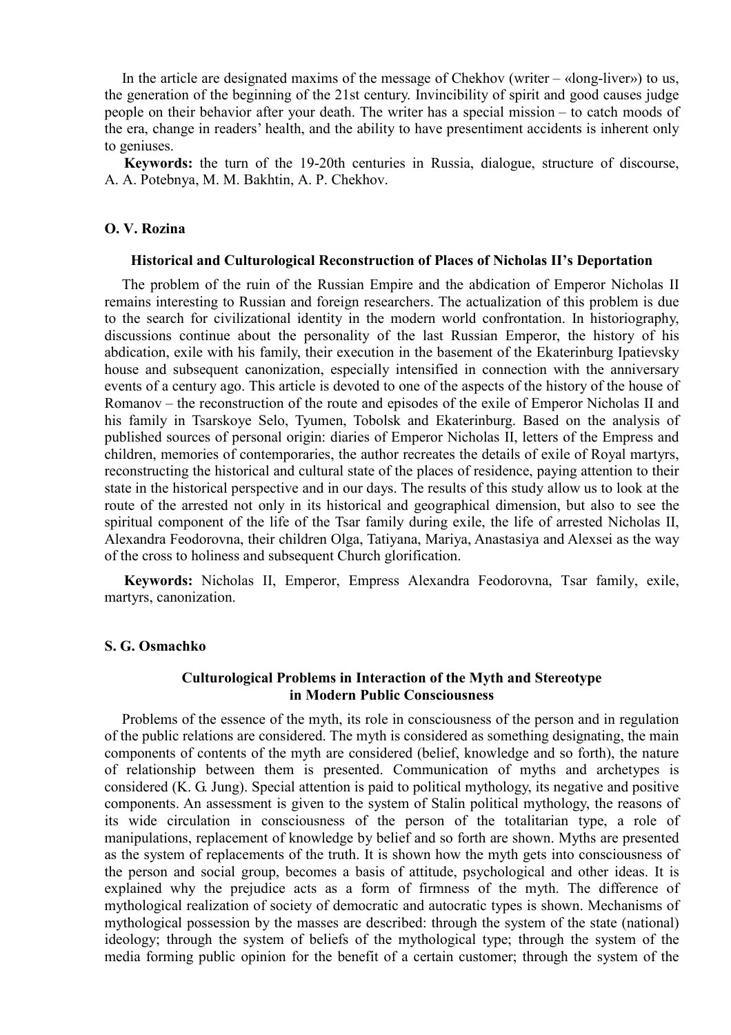In the article are designated maxims of the message of Chekhov (writer  $-$  «long-liver») to us, the generation of the beginning of the 21st century. Invincibility of spirit and good causes judge people on their behavior after your death. The writer has a special mission – to catch moods of the era, change in readers' health, and the ability to have presentiment accidents is inherent only to geniuses.

**Keywords:** the turn of the 19-20th centuries in Russia, dialogue, structure of discourse, A. A. Potebnya, M. M. Bakhtin, A. P. Chekhov.

# **O. V. Rozinа**

#### **Historical and Culturological Reconstruction of Places of Nicholas II's Deportation**

The problem of the ruin of the Russian Empire and the abdication of Emperor Nicholas II remains interesting to Russian and foreign researchers. The actualization of this problem is due to the search for civilizational identity in the modern world confrontation. In historiography, discussions continue about the personality of the last Russian Emperor, the history of his abdication, exile with his family, their execution in the basement of the Ekaterinburg Ipatievsky house and subsequent canonization, especially intensified in connection with the anniversary events of a century ago. This article is devoted to one of the aspects of the history of the house of Romanov – the reconstruction of the route and episodes of the exile of Emperor Nicholas II and his family in Tsarskoye Selo, Tyumen, Tobolsk and Ekaterinburg. Based on the analysis of published sources of personal origin: diaries of Emperor Nicholas II, letters of the Empress and children, memories of contemporaries, the author recreates the details of exile of Royal martyrs, reconstructing the historical and cultural state of the places of residence, paying attention to their state in the historical perspective and in our days. The results of this study allow us to look at the route of the arrested not only in its historical and geographical dimension, but also to see the spiritual component of the life of the Tsar family during exile, the life of arrested Nicholas II, Alexandra Feodorovna, their children Olga, Tatiyana, Mariya, Anastasiya and Alexsei as the way of the cross to holiness and subsequent Church glorification.

**Keywords:** Nicholas II, Emperor, Empress Alexandra Feodorovna, Tsar family, exile, martyrs, canonization.

### **S. G. Osmachko**

# **Culturological Problems in Interaction of the Myth and Stereotype in Modern Public Consciousness**

Problems of the essence of the myth, its role in consciousness of the person and in regulation of the public relations are considered. The myth is considered as something designating, the main components of contents of the myth are considered (belief, knowledge and so forth), the nature of relationship between them is presented. Communication of myths and archetypes is considered (K. G. Jung). Special attention is paid to political mythology, its negative and positive components. An assessment is given to the system of Stalin political mythology, the reasons of its wide circulation in consciousness of the person of the totalitarian type, a role of manipulations, replacement of knowledge by belief and so forth are shown. Myths are presented as the system of replacements of the truth. It is shown how the myth gets into consciousness of the person and social group, becomes a basis of attitude, psychological and other ideas. It is explained why the prejudice acts as a form of firmness of the myth. The difference of mythological realization of society of democratic and autocratic types is shown. Mechanisms of mythological possession by the masses are described: through the system of the state (national) ideology; through the system of beliefs of the mythological type; through the system of the media forming public opinion for the benefit of a certain customer; through the system of the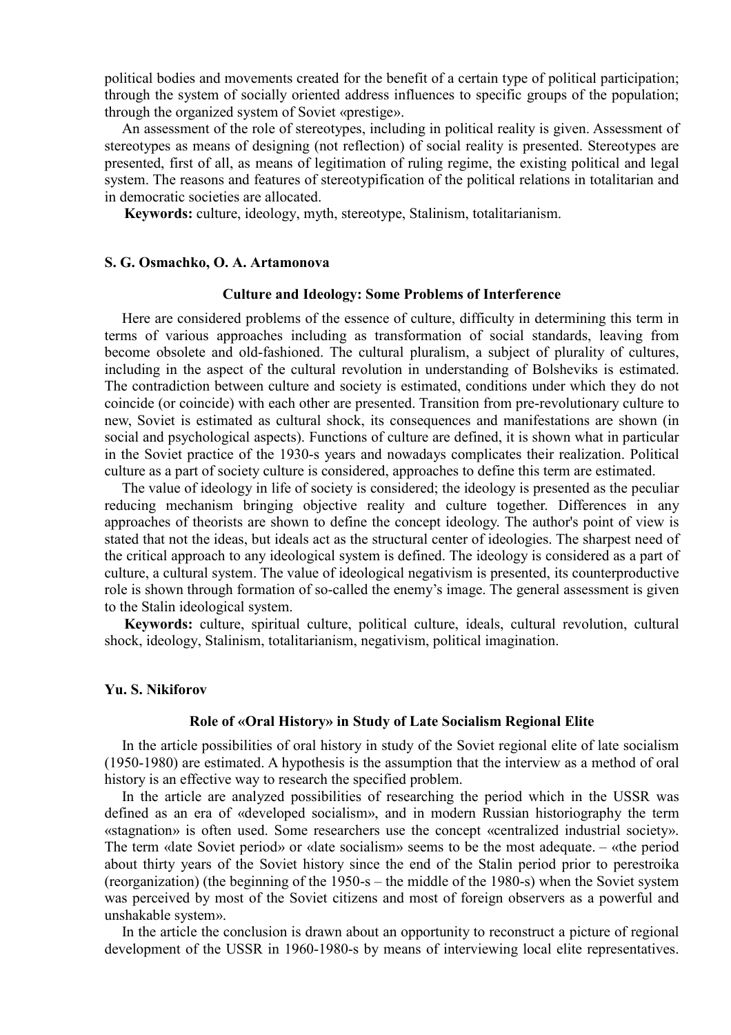political bodies and movements created for the benefit of a certain type of political participation; through the system of socially oriented address influences to specific groups of the population; through the organized system of Soviet «prestige».

An assessment of the role of stereotypes, including in political reality is given. Assessment of stereotypes as means of designing (not reflection) of social reality is presented. Stereotypes are presented, first of all, as means of legitimation of ruling regime, the existing political and legal system. The reasons and features of stereotypification of the political relations in totalitarian and in democratic societies are allocated.

**Keywords:** culture, ideology, myth, stereotype, Stalinism, totalitarianism.

# **S. G. Osmachko, O. A. Artamonova**

## **Culture and Ideology: Some Problems of Interference**

Here are considered problems of the essence of culture, difficulty in determining this term in terms of various approaches including as transformation of social standards, leaving from become obsolete and old-fashioned. The cultural pluralism, a subject of plurality of cultures, including in the aspect of the cultural revolution in understanding of Bolsheviks is estimated. The contradiction between culture and society is estimated, conditions under which they do not coincide (or coincide) with each other are presented. Transition from pre-revolutionary culture to new, Soviet is estimated as cultural shock, its consequences and manifestations are shown (in social and psychological aspects). Functions of culture are defined, it is shown what in particular in the Soviet practice of the 1930-s years and nowadays complicates their realization. Political culture as a part of society culture is considered, approaches to define this term are estimated.

The value of ideology in life of society is considered; the ideology is presented as the peculiar reducing mechanism bringing objective reality and culture together. Differences in any approaches of theorists are shown to define the concept ideology. The author's point of view is stated that not the ideas, but ideals act as the structural center of ideologies. The sharpest need of the critical approach to any ideological system is defined. The ideology is considered as a part of culture, a cultural system. The value of ideological negativism is presented, its counterproductive role is shown through formation of so-called the enemy's image. The general assessment is given to the Stalin ideological system.

**Keywords:** culture, spiritual culture, political culture, ideals, cultural revolution, cultural shock, ideology, Stalinism, totalitarianism, negativism, political imagination.

#### **Yu. S. Nikiforov**

#### **Role of «Oral History» in Study of Late Socialism Regional Elite**

In the article possibilities of oral history in study of the Soviet regional elite of late socialism (1950-1980) are estimated. A hypothesis is the assumption that the interview as a method of oral history is an effective way to research the specified problem.

In the article are analyzed possibilities of researching the period which in the USSR was defined as an era of «developed socialism», and in modern Russian historiography the term «stagnation» is often used. Some researchers use the concept «centralized industrial society». The term «late Soviet period» or «late socialism» seems to be the most adequate. – «the period about thirty years of the Soviet history since the end of the Stalin period prior to perestroika (reorganization) (the beginning of the 1950-s – the middle of the 1980-s) when the Soviet system was perceived by most of the Soviet citizens and most of foreign observers as a powerful and unshakable system».

In the article the conclusion is drawn about an opportunity to reconstruct a picture of regional development of the USSR in 1960-1980-s by means of interviewing local elite representatives.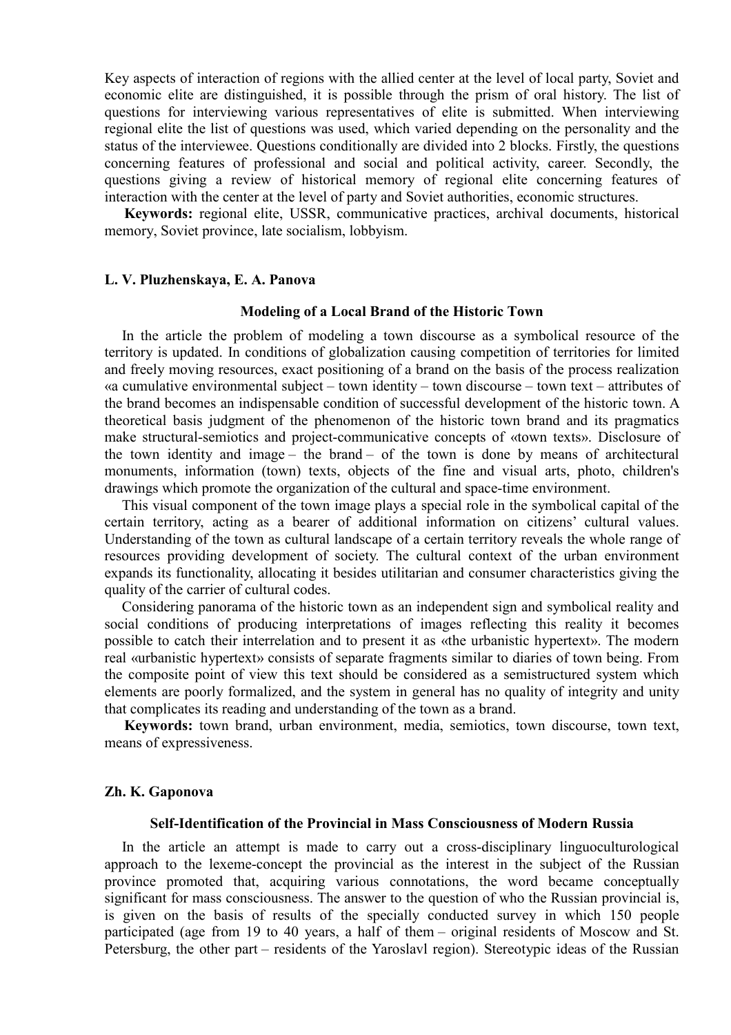Key aspects of interaction of regions with the allied center at the level of local party, Soviet and economic elite are distinguished, it is possible through the prism of oral history. The list of questions for interviewing various representatives of elite is submitted. When interviewing regional elite the list of questions was used, which varied depending on the personality and the status of the interviewee. Questions conditionally are divided into 2 blocks. Firstly, the questions concerning features of professional and social and political activity, career. Secondly, the questions giving a review of historical memory of regional elite concerning features of interaction with the center at the level of party and Soviet authorities, economic structures.

**Keywords:** regional elite, USSR, communicative practices, archival documents, historical memory, Soviet province, late socialism, lobbyism.

### **L. V. Pluzhenskaya, E. A. Panova**

#### **Modeling of a Local Brand of the Historic Town**

In the article the problem of modeling a town discourse as a symbolical resource of the territory is updated. In conditions of globalization causing competition of territories for limited and freely moving resources, exact positioning of a brand on the basis of the process realization «a cumulative environmental subject – town identity – town discourse – town text – attributes of the brand becomes an indispensable condition of successful development of the historic town. A theoretical basis judgment of the phenomenon of the historic town brand and its pragmatics make structural-semiotics and project-communicative concepts of «town texts». Disclosure of the town identity and image – the brand – of the town is done by means of architectural monuments, information (town) texts, objects of the fine and visual arts, photo, children's drawings which promote the organization of the cultural and space-time environment.

This visual component of the town image plays a special role in the symbolical capital of the certain territory, acting as a bearer of additional information on citizens' cultural values. Understanding of the town as cultural landscape of a certain territory reveals the whole range of resources providing development of society. The cultural context of the urban environment expands its functionality, allocating it besides utilitarian and consumer characteristics giving the quality of the carrier of cultural codes.

Considering panorama of the historic town as an independent sign and symbolical reality and social conditions of producing interpretations of images reflecting this reality it becomes possible to catch their interrelation and to present it as «the urbanistic hypertext». The modern real «urbanistic hypertext» consists of separate fragments similar to diaries of town being. From the composite point of view this text should be considered as a semistructured system which elements are poorly formalized, and the system in general has no quality of integrity and unity that complicates its reading and understanding of the town as a brand.

**Keywords:** town brand, urban environment, media, semiotics, town discourse, town text, means of expressiveness.

### **Zh. K. Gaponova**

### **Self-Identification of the Provincial in Mass Consciousness of Modern Russia**

In the article an attempt is made to carry out a cross-disciplinary linguoculturological approach to the lexeme-concept the provincial as the interest in the subject of the Russian province promoted that, acquiring various connotations, the word became conceptually significant for mass consciousness. The answer to the question of who the Russian provincial is, is given on the basis of results of the specially conducted survey in which 150 people participated (age from 19 to 40 years, a half of them – original residents of Moscow and St. Petersburg, the other part – residents of the Yaroslavl region). Stereotypic ideas of the Russian